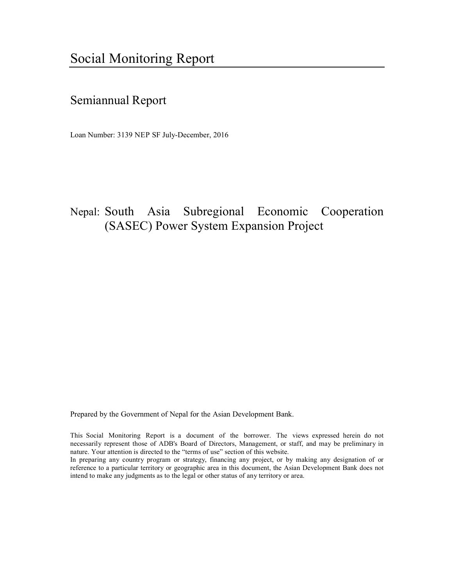# Semiannual Report

Loan Number: 3139 NEP SF July-December, 2016

# Nepal: South Asia Subregional Economic Cooperation (SASEC) Power System Expansion Project

Prepared by the Government of Nepal for the Asian Development Bank.

This Social Monitoring Report is a document of the borrower. The views expressed herein do not necessarily represent those of ADB's Board of Directors, Management, or staff, and may be preliminary in nature. Your attention is directed to the "terms of use" section of this website.

In preparing any country program or strategy, financing any project, or by making any designation of or reference to a particular territory or geographic area in this document, the Asian Development Bank does not intend to make any judgments as to the legal or other status of any territory or area.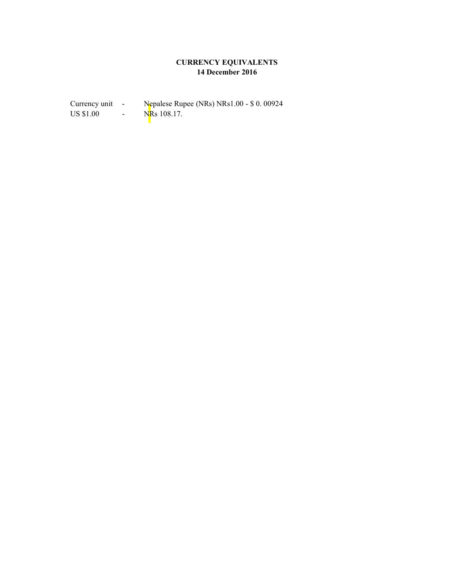## **CURRENCY EQUIVALENTS 14 December 2016**

Currency unit - Nepalese Rupee (NRs) NRs1.00 - \$ 0. 00924<br>US \$1.00 - NRs 108.17.  $\frac{1}{\text{N}}$  = NRs 108.17.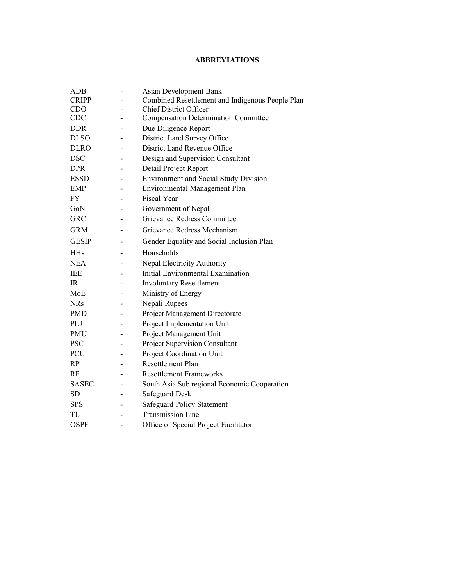#### **ABBREVIATIONS**

| <b>ADB</b>   | Asian Development Bank                           |  |
|--------------|--------------------------------------------------|--|
| <b>CRIPP</b> | Combined Resettlement and Indigenous People Plan |  |
| <b>CDO</b>   | <b>Chief District Officer</b>                    |  |
| <b>CDC</b>   | <b>Compensation Determination Committee</b>      |  |
| <b>DDR</b>   | Due Diligence Report                             |  |
| <b>DLSO</b>  | District Land Survey Office                      |  |
| <b>DLRO</b>  | District Land Revenue Office                     |  |
| <b>DSC</b>   | Design and Supervision Consultant                |  |
| <b>DPR</b>   | Detail Project Report                            |  |
| <b>ESSD</b>  | <b>Environment and Social Study Division</b>     |  |
| <b>EMP</b>   | Environmental Management Plan                    |  |
| FY           | <b>Fiscal Year</b>                               |  |
| GoN          | Government of Nepal                              |  |
| <b>GRC</b>   | Grievance Redress Committee                      |  |
| <b>GRM</b>   | Grievance Redress Mechanism                      |  |
| <b>GESIP</b> | Gender Equality and Social Inclusion Plan        |  |
| <b>HHs</b>   | Households                                       |  |
| <b>NEA</b>   | Nepal Electricity Authority                      |  |
| <b>IEE</b>   | Initial Environmental Examination                |  |
| IR.          | <b>Involuntary Resettlement</b>                  |  |
| MoE          | Ministry of Energy                               |  |
| <b>NRs</b>   | Nepali Rupees                                    |  |
| <b>PMD</b>   | Project Management Directorate                   |  |
| PIU          | Project Implementation Unit                      |  |
| <b>PMU</b>   | Project Management Unit                          |  |
| <b>PSC</b>   | Project Supervision Consultant                   |  |
| PCU          | Project Coordination Unit                        |  |
| RP           | <b>Resettlement Plan</b>                         |  |
| RF           | <b>Resettlement Frameworks</b>                   |  |
| <b>SASEC</b> | South Asia Sub regional Economic Cooperation     |  |
| SD.          | <b>Safeguard Desk</b>                            |  |
| <b>SPS</b>   | Safeguard Policy Statement                       |  |
| TL           | <b>Transmission Line</b>                         |  |
| <b>OSPF</b>  | Office of Special Project Facilitator            |  |
|              |                                                  |  |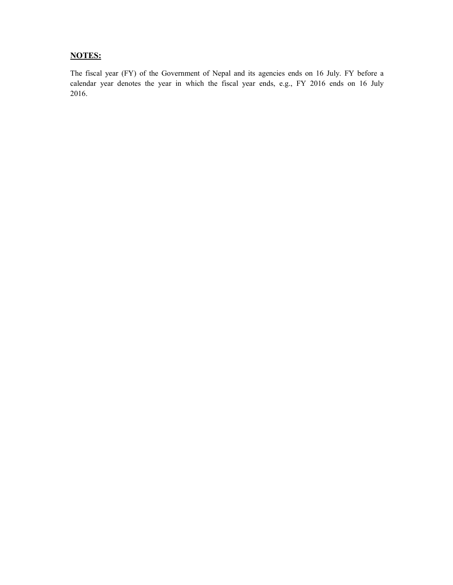## **NOTES:**

The fiscal year (FY) of the Government of Nepal and its agencies ends on 16 July. FY before a calendar year denotes the year in which the fiscal year ends, e.g., FY 2016 ends on 16 July 2016.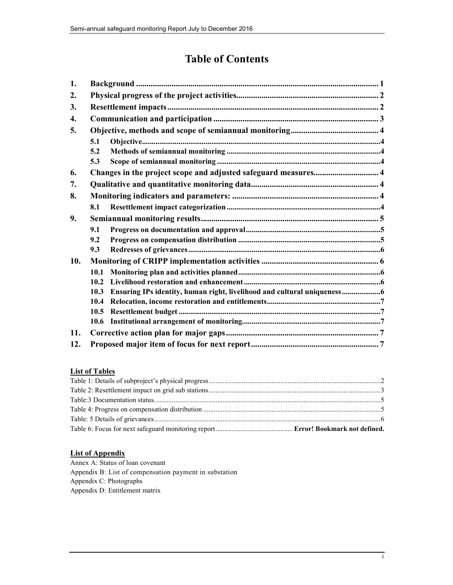## **Table of Contents**

| 1.  |      |                                                                        |  |  |  |
|-----|------|------------------------------------------------------------------------|--|--|--|
| 2.  |      |                                                                        |  |  |  |
| 3.  |      |                                                                        |  |  |  |
| 4.  |      |                                                                        |  |  |  |
| 5.  |      |                                                                        |  |  |  |
|     | 5.1  |                                                                        |  |  |  |
|     | 5.2  |                                                                        |  |  |  |
|     | 5.3  |                                                                        |  |  |  |
| 6.  |      | Changes in the project scope and adjusted safeguard measures 4         |  |  |  |
| 7.  |      |                                                                        |  |  |  |
| 8.  |      |                                                                        |  |  |  |
|     | 8.1  |                                                                        |  |  |  |
| 9.  |      |                                                                        |  |  |  |
|     | 9.1  |                                                                        |  |  |  |
|     | 9.2  |                                                                        |  |  |  |
|     | 9.3  |                                                                        |  |  |  |
| 10. |      |                                                                        |  |  |  |
|     | 10.1 |                                                                        |  |  |  |
|     | 10.2 |                                                                        |  |  |  |
|     | 10.3 | Ensuring IPs identity, human right, livelihood and cultural uniqueness |  |  |  |
|     | 10.4 |                                                                        |  |  |  |
|     | 10.5 |                                                                        |  |  |  |
|     | 10.6 |                                                                        |  |  |  |
| 11. |      |                                                                        |  |  |  |
| 12. |      |                                                                        |  |  |  |

## **List of Tables**

#### **List of Appendix**

Annex A: Status of loan covenant Appendix B: List of compensation payment in substation Appendix C: Photographs Appendix D: Entitlement matrix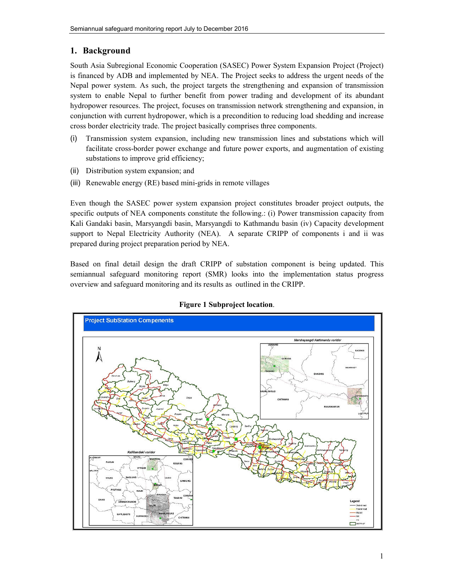## **1. Background**

South Asia Subregional Economic Cooperation (SASEC) Power System Expansion Project (Project) is financed by ADB and implemented by NEA. The Project seeks to address the urgent needs of the Nepal power system. As such, the project targets the strengthening and expansion of transmission system to enable Nepal to further benefit from power trading and development of its abundant hydropower resources. The project, focuses on transmission network strengthening and expansion, in conjunction with current hydropower, which is a precondition to reducing load shedding and increase cross border electricity trade. The project basically comprises three components.

- (i) Transmission system expansion, including new transmission lines and substations which will facilitate cross-border power exchange and future power exports, and augmentation of existing substations to improve grid efficiency;
- (ii) Distribution system expansion; and
- (iii) Renewable energy (RE) based mini-grids in remote villages

Even though the SASEC power system expansion project constitutes broader project outputs, the specific outputs of NEA components constitute the following.: (i) Power transmission capacity from Kali Gandaki basin, Marsyangdi basin, Marsyangdi to Kathmandu basin (iv) Capacity development support to Nepal Electricity Authority (NEA). A separate CRIPP of components i and ii was prepared during project preparation period by NEA.

Based on final detail design the draft CRIPP of substation component is being updated. This semiannual safeguard monitoring report (SMR) looks into the implementation status progress overview and safeguard monitoring and its results as outlined in the CRIPP.



#### **Figure 1 Subproject location**.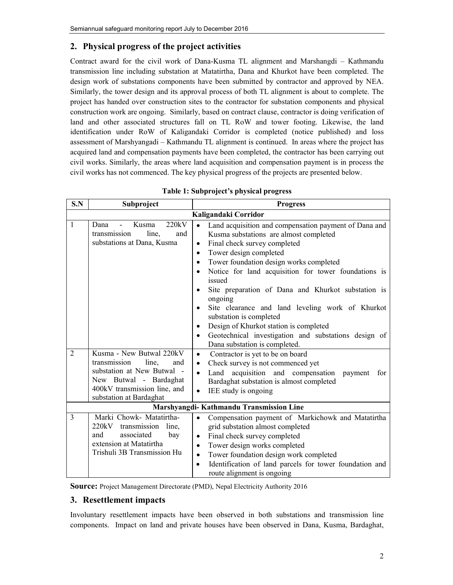## **2. Physical progress of the project activities**

Contract award for the civil work of Dana-Kusma TL alignment and Marshangdi – Kathmandu transmission line including substation at Matatirtha, Dana and Khurkot have been completed. The design work of substations components have been submitted by contractor and approved by NEA. Similarly, the tower design and its approval process of both TL alignment is about to complete. The project has handed over construction sites to the contractor for substation components and physical construction work are ongoing. Similarly, based on contract clause, contractor is doing verification of land and other associated structures fall on TL RoW and tower footing. Likewise, the land identification under RoW of Kaligandaki Corridor is completed (notice published) and loss assessment of Marshyangadi – Kathmandu TL alignment is continued. In areas where the project has acquired land and compensation payments have been completed, the contractor has been carrying out civil works. Similarly, the areas where land acquisition and compensation payment is in process the civil works has not commenced. The key physical progress of the projects are presented below.

| S.N                 | Subproject                                                                                                                                                                     | <b>Progress</b>                                                                                                                                                                                                                                                                                                                                                                                                                                                                                                                                                                                                                                                                                                                                                                                                                          |
|---------------------|--------------------------------------------------------------------------------------------------------------------------------------------------------------------------------|------------------------------------------------------------------------------------------------------------------------------------------------------------------------------------------------------------------------------------------------------------------------------------------------------------------------------------------------------------------------------------------------------------------------------------------------------------------------------------------------------------------------------------------------------------------------------------------------------------------------------------------------------------------------------------------------------------------------------------------------------------------------------------------------------------------------------------------|
|                     |                                                                                                                                                                                | Kaligandaki Corridor                                                                                                                                                                                                                                                                                                                                                                                                                                                                                                                                                                                                                                                                                                                                                                                                                     |
| 1<br>$\overline{2}$ | 220kV<br>Dana<br>Kusma<br>transmission<br>line.<br>and<br>substations at Dana, Kusma<br>Kusma - New Butwal 220kV<br>transmission<br>line,<br>and<br>substation at New Butwal - | Land acquisition and compensation payment of Dana and<br>$\bullet$<br>Kusma substations are almost completed<br>Final check survey completed<br>$\bullet$<br>Tower design completed<br>$\bullet$<br>Tower foundation design works completed<br>$\bullet$<br>Notice for land acquisition for tower foundations is<br>$\bullet$<br>issued<br>Site preparation of Dana and Khurkot substation is<br>ongoing<br>Site clearance and land leveling work of Khurkot<br>$\bullet$<br>substation is completed<br>Design of Khurkot station is completed<br>$\bullet$<br>Geotechnical investigation and substations design of<br>$\bullet$<br>Dana substation is completed.<br>Contractor is yet to be on board<br>$\bullet$<br>Check survey is not commenced yet<br>$\bullet$<br>Land acquisition and compensation<br>for<br>payment<br>$\bullet$ |
|                     | New Butwal - Bardaghat<br>400kV transmission line, and<br>substation at Bardaghat                                                                                              | Bardaghat substation is almost completed<br>IEE study is ongoing<br>$\bullet$                                                                                                                                                                                                                                                                                                                                                                                                                                                                                                                                                                                                                                                                                                                                                            |
|                     |                                                                                                                                                                                | Marshyangdi-Kathmandu Transmission Line                                                                                                                                                                                                                                                                                                                                                                                                                                                                                                                                                                                                                                                                                                                                                                                                  |
| 3                   | Marki Chowk- Matatirtha-<br>220kV<br>transmission<br>line,<br>associated<br>and<br>bay<br>extension at Matatirtha<br>Trishuli 3B Transmission Hu                               | Compensation payment of Markichowk and Matatirtha<br>$\bullet$<br>grid substation almost completed<br>Final check survey completed<br>$\bullet$<br>Tower design works completed<br>$\bullet$<br>Tower foundation design work completed<br>$\bullet$<br>Identification of land parcels for tower foundation and<br>$\bullet$<br>route alignment is ongoing                                                                                                                                                                                                                                                                                                                                                                                                                                                                                |

| Table 1: Subproject's physical progress |  |
|-----------------------------------------|--|
|-----------------------------------------|--|

**Source:** Project Management Directorate (PMD), Nepal Electricity Authority 2016

#### **3. Resettlement impacts**

Involuntary resettlement impacts have been observed in both substations and transmission line components. Impact on land and private houses have been observed in Dana, Kusma, Bardaghat,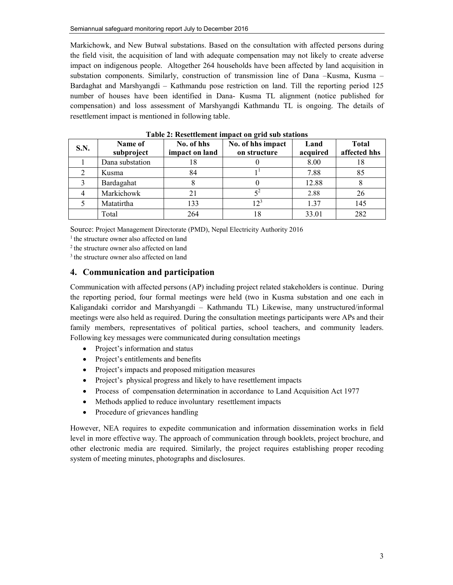Markichowk, and New Butwal substations. Based on the consultation with affected persons during the field visit, the acquisition of land with adequate compensation may not likely to create adverse impact on indigenous people. Altogether 264 households have been affected by land acquisition in substation components. Similarly, construction of transmission line of Dana –Kusma, Kusma – Bardaghat and Marshyangdi – Kathmandu pose restriction on land. Till the reporting period 125 number of houses have been identified in Dana- Kusma TL alignment (notice published for compensation) and loss assessment of Marshyangdi Kathmandu TL is ongoing. The details of resettlement impact is mentioned in following table.

| S.N. | Name of<br>subproject | No. of hhs<br>impact on land | No. of hhs impact<br>on structure | Land<br>acquired | <b>Total</b><br>affected hhs |
|------|-----------------------|------------------------------|-----------------------------------|------------------|------------------------------|
|      | Dana substation       | 18                           |                                   | 8.00             | 18                           |
|      | Kusma                 | 84                           |                                   | 7.88             | 85                           |
|      | Bardagahat            |                              |                                   | 12.88            |                              |
| 4    | Markichowk            | 21                           |                                   | 2.88             | 26                           |
|      | Matatirtha            | 133                          | 123                               | 1.37             | 145                          |
|      | Total                 | 264                          | 18                                | 33.01            | 282                          |

**Table 2: Resettlement impact on grid sub stations** 

Source: Project Management Directorate (PMD), Nepal Electricity Authority 2016

<sup>1</sup> the structure owner also affected on land

<sup>2</sup> the structure owner also affected on land

<sup>3</sup> the structure owner also affected on land

#### **4. Communication and participation**

Communication with affected persons (AP) including project related stakeholders is continue. During the reporting period, four formal meetings were held (two in Kusma substation and one each in Kaligandaki corridor and Marshyangdi – Kathmandu TL) Likewise, many unstructured/informal meetings were also held as required. During the consultation meetings participants were APs and their family members, representatives of political parties, school teachers, and community leaders. Following key messages were communicated during consultation meetings

- Project's information and status
- Project's entitlements and benefits
- Project's impacts and proposed mitigation measures
- Project's physical progress and likely to have resettlement impacts
- Process of compensation determination in accordance to Land Acquisition Act 1977
- Methods applied to reduce involuntary resettlement impacts
- Procedure of grievances handling

However, NEA requires to expedite communication and information dissemination works in field level in more effective way. The approach of communication through booklets, project brochure, and other electronic media are required. Similarly, the project requires establishing proper recoding system of meeting minutes, photographs and disclosures.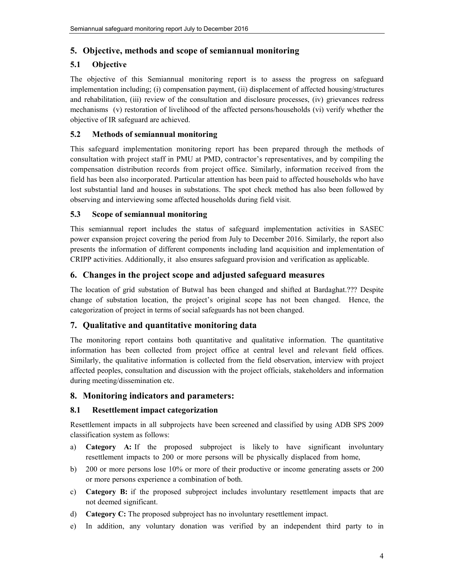## **5. Objective, methods and scope of semiannual monitoring**

## **5.1 Objective**

The objective of this Semiannual monitoring report is to assess the progress on safeguard implementation including; (i) compensation payment, (ii) displacement of affected housing/structures and rehabilitation, (iii) review of the consultation and disclosure processes, (iv) grievances redress mechanisms (v) restoration of livelihood of the affected persons/households (vi) verify whether the objective of IR safeguard are achieved.

#### **5.2 Methods of semiannual monitoring**

This safeguard implementation monitoring report has been prepared through the methods of consultation with project staff in PMU at PMD, contractor's representatives, and by compiling the compensation distribution records from project office. Similarly, information received from the field has been also incorporated. Particular attention has been paid to affected households who have lost substantial land and houses in substations. The spot check method has also been followed by observing and interviewing some affected households during field visit.

#### **5.3 Scope of semiannual monitoring**

This semiannual report includes the status of safeguard implementation activities in SASEC power expansion project covering the period from July to December 2016. Similarly, the report also presents the information of different components including land acquisition and implementation of CRIPP activities. Additionally, it also ensures safeguard provision and verification as applicable.

## **6. Changes in the project scope and adjusted safeguard measures**

The location of grid substation of Butwal has been changed and shifted at Bardaghat.??? Despite change of substation location, the project's original scope has not been changed. Hence, the categorization of project in terms of social safeguards has not been changed.

## **7. Qualitative and quantitative monitoring data**

The monitoring report contains both quantitative and qualitative information. The quantitative information has been collected from project office at central level and relevant field offices. Similarly, the qualitative information is collected from the field observation, interview with project affected peoples, consultation and discussion with the project officials, stakeholders and information during meeting/dissemination etc.

#### **8. Monitoring indicators and parameters:**

#### **8.1 Resettlement impact categorization**

Resettlement impacts in all subprojects have been screened and classified by using ADB SPS 2009 classification system as follows:

- a) **Category A:** If the proposed subproject is likely to have significant involuntary resettlement impacts to 200 or more persons will be physically displaced from home,
- b) 200 or more persons lose 10% or more of their productive or income generating assets or 200 or more persons experience a combination of both.
- c) **Category B:** if the proposed subproject includes involuntary resettlement impacts that are not deemed significant.
- d) **Category C:** The proposed subproject has no involuntary resettlement impact.
- e) In addition, any voluntary donation was verified by an independent third party to in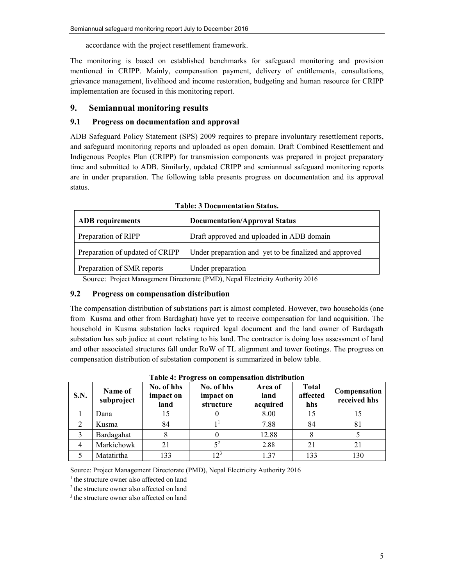accordance with the project resettlement framework.

The monitoring is based on established benchmarks for safeguard monitoring and provision mentioned in CRIPP. Mainly, compensation payment, delivery of entitlements, consultations, grievance management, livelihood and income restoration, budgeting and human resource for CRIPP implementation are focused in this monitoring report.

#### **9. Semiannual monitoring results**

#### **9.1 Progress on documentation and approval**

ADB Safeguard Policy Statement (SPS) 2009 requires to prepare involuntary resettlement reports, and safeguard monitoring reports and uploaded as open domain. Draft Combined Resettlement and Indigenous Peoples Plan (CRIPP) for transmission components was prepared in project preparatory time and submitted to ADB. Similarly, updated CRIPP and semiannual safeguard monitoring reports are in under preparation. The following table presents progress on documentation and its approval status.

| <b>ADB</b> requirements         | <b>Documentation/Approval Status</b>                                                                                                                |  |  |  |
|---------------------------------|-----------------------------------------------------------------------------------------------------------------------------------------------------|--|--|--|
| Preparation of RIPP             | Draft approved and uploaded in ADB domain                                                                                                           |  |  |  |
| Preparation of updated of CRIPP | Under preparation and yet to be finalized and approved                                                                                              |  |  |  |
| Preparation of SMR reports      | Under preparation                                                                                                                                   |  |  |  |
|                                 | $\mathbf{R}^*$ and $\mathbf{R}^*$ and $\mathbf{R}^*$ and $\mathbf{R}^*$ and $\mathbf{R}^*$ and $\mathbf{R}^*$ and $\mathbf{R}^*$ and $\mathbf{R}^*$ |  |  |  |

| <b>Table: 3 Documentation Status.</b> |
|---------------------------------------|
|---------------------------------------|

Source: Project Management Directorate (PMD), Nepal Electricity Authority 2016

#### **9.2 Progress on compensation distribution**

The compensation distribution of substations part is almost completed. However, two households (one from Kusma and other from Bardaghat) have yet to receive compensation for land acquisition. The household in Kusma substation lacks required legal document and the land owner of Bardagath substation has sub judice at court relating to his land. The contractor is doing loss assessment of land and other associated structures fall under RoW of TL alignment and tower footings. The progress on compensation distribution of substation component is summarized in below table.

| <b>S.N.</b> | Name of<br>subproject | No. of hhs<br>impact on<br>land | No. of hhs<br>impact on<br>structure | Area of<br>land<br>acquired | <b>Total</b><br>affected<br>hhs | Compensation<br>received hhs |
|-------------|-----------------------|---------------------------------|--------------------------------------|-----------------------------|---------------------------------|------------------------------|
|             | Dana                  |                                 |                                      | 8.00                        | 15                              |                              |
| 2           | Kusma                 | 84                              |                                      | 7.88                        | 84                              | 81                           |
| 3           | Bardagahat            |                                 |                                      | 12.88                       |                                 |                              |
| 4           | Markichowk            | 21                              | 52                                   | 2.88                        | 21                              | 21                           |
|             | Matatirtha            | 133                             | $12^3$                               | 1 37                        | 133                             | 130                          |

**Table 4: Progress on compensation distribution** 

Source: Project Management Directorate (PMD), Nepal Electricity Authority 2016

<sup>1</sup> the structure owner also affected on land

<sup>2</sup> the structure owner also affected on land

<sup>3</sup> the structure owner also affected on land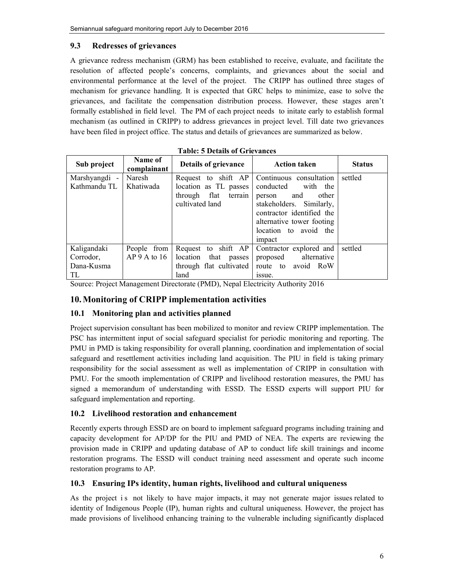#### **9.3 Redresses of grievances**

A grievance redress mechanism (GRM) has been established to receive, evaluate, and facilitate the resolution of affected people's concerns, complaints, and grievances about the social and environmental performance at the level of the project. The CRIPP has outlined three stages of mechanism for grievance handling. It is expected that GRC helps to minimize, ease to solve the grievances, and facilitate the compensation distribution process. However, these stages aren't formally established in field level. The PM of each project needs to initate early to establish formal mechanism (as outlined in CRIPP) to address grievances in project level. Till date two grievances have been filed in project office. The status and details of grievances are summarized as below.

| Sub project   | Name of<br>complainant | Details of grievance    | <b>Action taken</b>       | <b>Status</b> |
|---------------|------------------------|-------------------------|---------------------------|---------------|
| Marshyangdi - | Naresh                 | Request to shift AP     | Continuous consultation   | settled       |
| Kathmandu TL  | Khatiwada              | location as TL passes   | conducted with the        |               |
|               |                        | through flat<br>terrain | other<br>person<br>and    |               |
|               |                        | cultivated land         | stakeholders. Similarly,  |               |
|               |                        |                         | contractor identified the |               |
|               |                        |                         | alternative tower footing |               |
|               |                        |                         | location to avoid the     |               |
|               |                        |                         | impact                    |               |
| Kaligandaki   | People from            | Request to shift AP     | Contractor explored and   | settled       |
| Corrodor,     | $AP$ 9 A to 16         | location that<br>passes | proposed alternative      |               |
| Dana-Kusma    |                        | through flat cultivated | route to avoid RoW        |               |
| TL            |                        | land                    | issue.                    |               |

**Table: 5 Details of Grievances** 

Source: Project Management Directorate (PMD), Nepal Electricity Authority 2016

#### **10.Monitoring of CRIPP implementation activities**

#### **10.1 Monitoring plan and activities planned**

Project supervision consultant has been mobilized to monitor and review CRIPP implementation. The PSC has intermittent input of social safeguard specialist for periodic monitoring and reporting. The PMU in PMD is taking responsibility for overall planning, coordination and implementation of social safeguard and resettlement activities including land acquisition. The PIU in field is taking primary responsibility for the social assessment as well as implementation of CRIPP in consultation with PMU. For the smooth implementation of CRIPP and livelihood restoration measures, the PMU has signed a memorandum of understanding with ESSD. The ESSD experts will support PIU for safeguard implementation and reporting.

#### **10.2 Livelihood restoration and enhancement**

Recently experts through ESSD are on board to implement safeguard programs including training and capacity development for AP/DP for the PIU and PMD of NEA. The experts are reviewing the provision made in CRIPP and updating database of AP to conduct life skill trainings and income restoration programs. The ESSD will conduct training need assessment and operate such income restoration programs to AP.

#### **10.3 Ensuring IPs identity, human rights, livelihood and cultural uniqueness**

As the project is not likely to have major impacts, it may not generate major issues related to identity of Indigenous People (IP), human rights and cultural uniqueness. However, the project has made provisions of livelihood enhancing training to the vulnerable including significantly displaced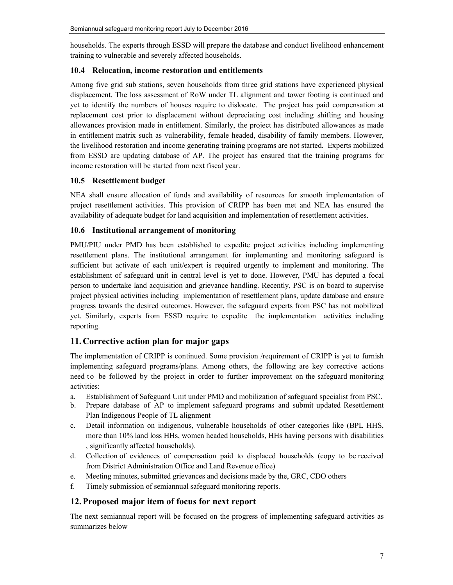households. The experts through ESSD will prepare the database and conduct livelihood enhancement training to vulnerable and severely affected households.

#### **10.4 Relocation, income restoration and entitlements**

Among five grid sub stations, seven households from three grid stations have experienced physical displacement. The loss assessment of RoW under TL alignment and tower footing is continued and yet to identify the numbers of houses require to dislocate. The project has paid compensation at replacement cost prior to displacement without depreciating cost including shifting and housing allowances provision made in entitlement. Similarly, the project has distributed allowances as made in entitlement matrix such as vulnerability, female headed, disability of family members. However, the livelihood restoration and income generating training programs are not started. Experts mobilized from ESSD are updating database of AP. The project has ensured that the training programs for income restoration will be started from next fiscal year.

#### **10.5 Resettlement budget**

NEA shall ensure allocation of funds and availability of resources for smooth implementation of project resettlement activities. This provision of CRIPP has been met and NEA has ensured the availability of adequate budget for land acquisition and implementation of resettlement activities.

#### **10.6 Institutional arrangement of monitoring**

PMU/PIU under PMD has been established to expedite project activities including implementing resettlement plans. The institutional arrangement for implementing and monitoring safeguard is sufficient but activate of each unit/expert is required urgently to implement and monitoring. The establishment of safeguard unit in central level is yet to done. However, PMU has deputed a focal person to undertake land acquisition and grievance handling. Recently, PSC is on board to supervise project physical activities including implementation of resettlement plans, update database and ensure progress towards the desired outcomes. However, the safeguard experts from PSC has not mobilized yet. Similarly, experts from ESSD require to expedite the implementation activities including reporting.

## **11.Corrective action plan for major gaps**

The implementation of CRIPP is continued. Some provision /requirement of CRIPP is yet to furnish implementing safeguard programs/plans. Among others, the following are key corrective actions need to be followed by the project in order to further improvement on the safeguard monitoring activities:

- a. Establishment of Safeguard Unit under PMD and mobilization of safeguard specialist from PSC.
- b. Prepare database of AP to implement safeguard programs and submit updated Resettlement Plan Indigenous People of TL alignment
- c. Detail information on indigenous, vulnerable households of other categories like (BPL HHS, more than 10% land loss HHs, women headed households, HHs having persons with disabilities , significantly affected households).
- d. Collection of evidences of compensation paid to displaced households (copy to be received from District Administration Office and Land Revenue office)
- e. Meeting minutes, submitted grievances and decisions made by the, GRC, CDO others
- f. Timely submission of semiannual safeguard monitoring reports.

## **12.Proposed major item of focus for next report**

The next semiannual report will be focused on the progress of implementing safeguard activities as summarizes below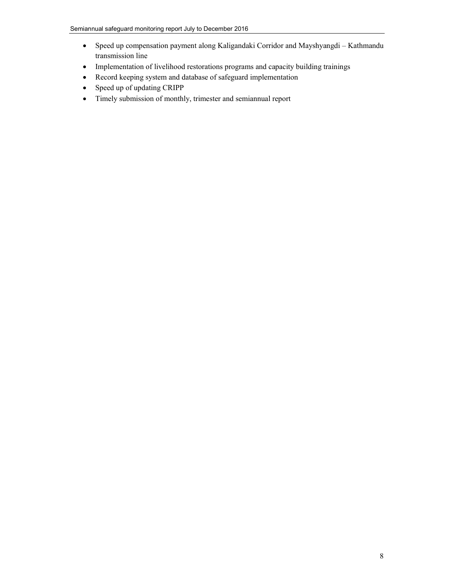- Speed up compensation payment along Kaligandaki Corridor and Mayshyangdi Kathmandu transmission line
- Implementation of livelihood restorations programs and capacity building trainings
- Record keeping system and database of safeguard implementation
- Speed up of updating CRIPP
- Timely submission of monthly, trimester and semiannual report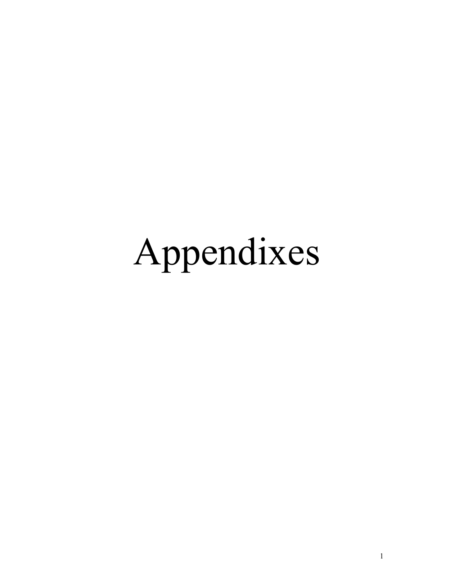# Appendixes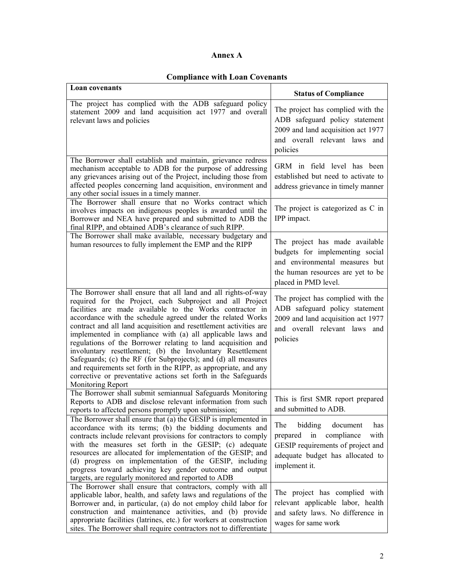#### **Annex A**

## **Compliance with Loan Covenants**

| <b>Loan covenants</b>                                                                                                                                                                                                                                                                                                                                                                                                                                                                                                                                                                                                                                                                                                                              | <b>Status of Compliance</b>                                                                                                                                         |
|----------------------------------------------------------------------------------------------------------------------------------------------------------------------------------------------------------------------------------------------------------------------------------------------------------------------------------------------------------------------------------------------------------------------------------------------------------------------------------------------------------------------------------------------------------------------------------------------------------------------------------------------------------------------------------------------------------------------------------------------------|---------------------------------------------------------------------------------------------------------------------------------------------------------------------|
| The project has complied with the ADB safeguard policy<br>statement 2009 and land acquisition act 1977 and overall<br>relevant laws and policies                                                                                                                                                                                                                                                                                                                                                                                                                                                                                                                                                                                                   | The project has complied with the<br>ADB safeguard policy statement<br>2009 and land acquisition act 1977<br>and overall relevant laws and<br>policies              |
| The Borrower shall establish and maintain, grievance redress<br>mechanism acceptable to ADB for the purpose of addressing<br>any grievances arising out of the Project, including those from<br>affected peoples concerning land acquisition, environment and<br>any other social issues in a timely manner.                                                                                                                                                                                                                                                                                                                                                                                                                                       | GRM in field level has been<br>established but need to activate to<br>address grievance in timely manner                                                            |
| The Borrower shall ensure that no Works contract which<br>involves impacts on indigenous peoples is awarded until the<br>Borrower and NEA have prepared and submitted to ADB the<br>final RIPP, and obtained ADB's clearance of such RIPP.                                                                                                                                                                                                                                                                                                                                                                                                                                                                                                         | The project is categorized as C in<br>IPP impact.                                                                                                                   |
| The Borrower shall make available, necessary budgetary and<br>human resources to fully implement the EMP and the RIPP                                                                                                                                                                                                                                                                                                                                                                                                                                                                                                                                                                                                                              | The project has made available<br>budgets for implementing social<br>and environmental measures but<br>the human resources are yet to be<br>placed in PMD level.    |
| The Borrower shall ensure that all land and all rights-of-way<br>required for the Project, each Subproject and all Project<br>facilities are made available to the Works contractor in<br>accordance with the schedule agreed under the related Works<br>contract and all land acquisition and resettlement activities are<br>implemented in compliance with (a) all applicable laws and<br>regulations of the Borrower relating to land acquisition and<br>involuntary resettlement; (b) the Involuntary Resettlement<br>Safeguards; (c) the RF (for Subprojects); and (d) all measures<br>and requirements set forth in the RIPP, as appropriate, and any<br>corrective or preventative actions set forth in the Safeguards<br>Monitoring Report | The project has complied with the<br>ADB safeguard policy statement<br>2009 and land acquisition act 1977<br>and overall relevant laws and<br>policies              |
| The Borrower shall submit semiannual Safeguards Monitoring<br>Reports to ADB and disclose relevant information from such<br>reports to affected persons promptly upon submission;                                                                                                                                                                                                                                                                                                                                                                                                                                                                                                                                                                  | This is first SMR report prepared<br>and submitted to ADB.                                                                                                          |
| The Borrower shall ensure that (a) the GESIP is implemented in<br>accordance with its terms; (b) the bidding documents and<br>contracts include relevant provisions for contractors to comply<br>with the measures set forth in the GESIP; (c) adequate<br>resources are allocated for implementation of the GESIP; and<br>(d) progress on implementation of the GESIP, including<br>progress toward achieving key gender outcome and output<br>targets, are regularly monitored and reported to ADB                                                                                                                                                                                                                                               | bidding<br>The<br>document<br>has<br>compliance<br>with<br>prepared<br>in<br>GESIP requirements of project and<br>adequate budget has allocated to<br>implement it. |
| The Borrower shall ensure that contractors, comply with all<br>applicable labor, health, and safety laws and regulations of the<br>Borrower and, in particular, (a) do not employ child labor for<br>construction and maintenance activities, and (b) provide<br>appropriate facilities (latrines, etc.) for workers at construction<br>sites. The Borrower shall require contractors not to differentiate                                                                                                                                                                                                                                                                                                                                         | The project has complied with<br>relevant applicable labor, health<br>and safety laws. No difference in<br>wages for same work                                      |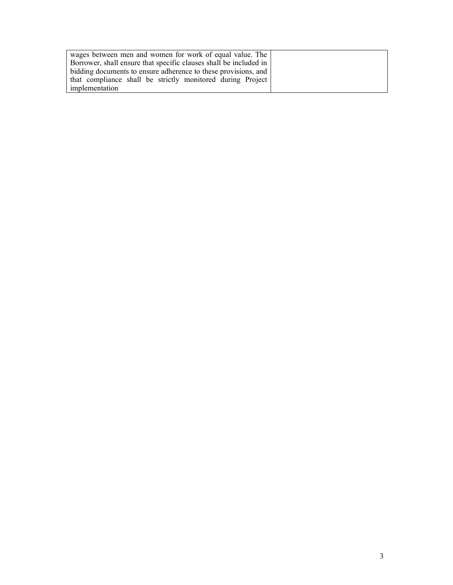| wages between men and women for work of equal value. The          |  |
|-------------------------------------------------------------------|--|
| Borrower, shall ensure that specific clauses shall be included in |  |
| bidding documents to ensure adherence to these provisions, and    |  |
| that compliance shall be strictly monitored during Project        |  |
| implementation                                                    |  |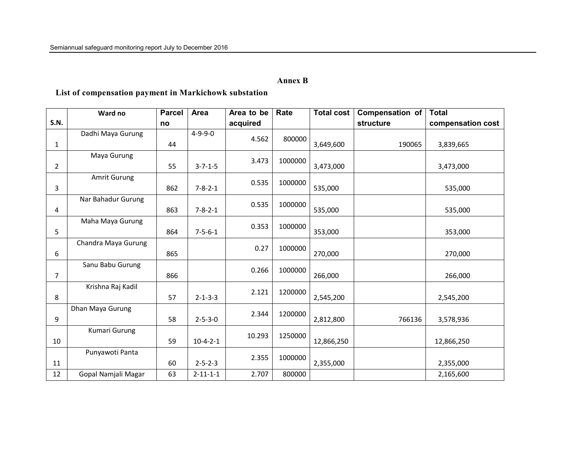#### **Annex B**

## **List of compensation payment in Markichowk substation**

|                | Ward no             | <b>Parcel</b> | Area             | Area to be | Rate    | <b>Total cost</b> | <b>Compensation of</b> | <b>Total</b>      |
|----------------|---------------------|---------------|------------------|------------|---------|-------------------|------------------------|-------------------|
| <b>S.N.</b>    |                     | no            |                  | acquired   |         |                   | structure              | compensation cost |
|                | Dadhi Maya Gurung   |               | $4 - 9 - 9 - 0$  | 4.562      | 800000  |                   |                        |                   |
| $\mathbf{1}$   |                     | 44            |                  |            |         | 3,649,600         | 190065                 | 3,839,665         |
|                | Maya Gurung         |               |                  | 3.473      | 1000000 |                   |                        |                   |
| $\overline{2}$ |                     | 55            | $3 - 7 - 1 - 5$  |            |         | 3,473,000         |                        | 3,473,000         |
|                | Amrit Gurung        |               |                  |            |         |                   |                        |                   |
| 3              |                     | 862           | $7 - 8 - 2 - 1$  | 0.535      | 1000000 | 535,000           |                        | 535,000           |
|                | Nar Bahadur Gurung  |               |                  |            |         |                   |                        |                   |
| 4              |                     | 863           | $7 - 8 - 2 - 1$  | 0.535      | 1000000 | 535,000           |                        | 535,000           |
|                | Maha Maya Gurung    |               |                  |            |         |                   |                        |                   |
| 5              |                     | 864           | $7 - 5 - 6 - 1$  | 0.353      | 1000000 | 353,000           |                        | 353,000           |
|                | Chandra Maya Gurung |               |                  |            | 1000000 |                   |                        |                   |
| 6              |                     | 865           |                  | 0.27       |         | 270,000           |                        | 270,000           |
|                | Sanu Babu Gurung    |               |                  |            | 1000000 |                   |                        |                   |
| 7              |                     | 866           |                  | 0.266      |         | 266,000           |                        | 266,000           |
|                | Krishna Raj Kadil   |               |                  | 2.121      | 1200000 |                   |                        |                   |
| 8              |                     | 57            | $2 - 1 - 3 - 3$  |            |         | 2,545,200         |                        | 2,545,200         |
|                | Dhan Maya Gurung    |               |                  | 2.344      | 1200000 |                   |                        |                   |
| 9              |                     | 58            | $2 - 5 - 3 - 0$  |            |         | 2,812,800         | 766136                 | 3,578,936         |
|                | Kumari Gurung       |               |                  | 10.293     | 1250000 |                   |                        |                   |
| 10             |                     | 59            | $10-4-2-1$       |            |         | 12,866,250        |                        | 12,866,250        |
|                | Punyawoti Panta     |               |                  |            |         |                   |                        |                   |
| 11             |                     | 60            | $2 - 5 - 2 - 3$  | 2.355      | 1000000 | 2,355,000         |                        | 2,355,000         |
| 12             | Gopal Namjali Magar | 63            | $2 - 11 - 1 - 1$ | 2.707      | 800000  |                   |                        | 2,165,600         |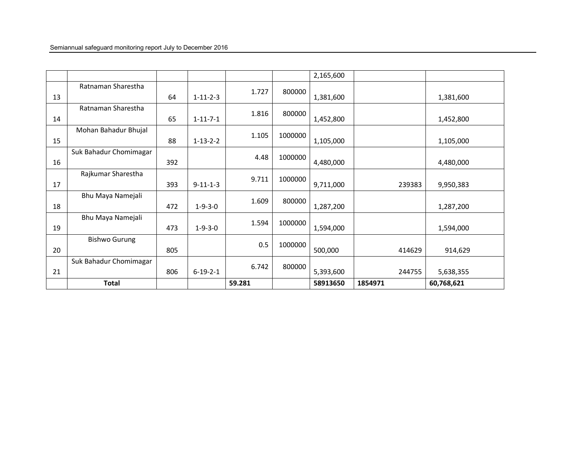|    |                        |     |                  |        |         | 2,165,600 |         |            |
|----|------------------------|-----|------------------|--------|---------|-----------|---------|------------|
|    | Ratnaman Sharestha     |     |                  | 1.727  | 800000  |           |         |            |
| 13 |                        | 64  | $1 - 11 - 2 - 3$ |        |         | 1,381,600 |         | 1,381,600  |
|    | Ratnaman Sharestha     |     |                  | 1.816  | 800000  |           |         |            |
| 14 |                        | 65  | $1 - 11 - 7 - 1$ |        |         | 1,452,800 |         | 1,452,800  |
|    | Mohan Bahadur Bhujal   |     |                  | 1.105  | 1000000 |           |         |            |
| 15 |                        | 88  | $1 - 13 - 2 - 2$ |        |         | 1,105,000 |         | 1,105,000  |
|    | Suk Bahadur Chomimagar |     |                  | 4.48   | 1000000 |           |         |            |
| 16 |                        | 392 |                  |        |         | 4,480,000 |         | 4,480,000  |
|    | Rajkumar Sharestha     |     |                  | 9.711  | 1000000 |           |         |            |
| 17 |                        | 393 | $9 - 11 - 1 - 3$ |        |         | 9,711,000 | 239383  | 9,950,383  |
|    | Bhu Maya Namejali      |     |                  | 1.609  | 800000  |           |         |            |
| 18 |                        | 472 | $1 - 9 - 3 - 0$  |        |         | 1,287,200 |         | 1,287,200  |
|    | Bhu Maya Namejali      |     |                  | 1.594  | 1000000 |           |         |            |
| 19 |                        | 473 | $1 - 9 - 3 - 0$  |        |         | 1,594,000 |         | 1,594,000  |
|    | <b>Bishwo Gurung</b>   |     |                  | 0.5    | 1000000 |           |         |            |
| 20 |                        | 805 |                  |        |         | 500,000   | 414629  | 914,629    |
|    | Suk Bahadur Chomimagar |     |                  | 6.742  | 800000  |           |         |            |
| 21 |                        | 806 | $6 - 19 - 2 - 1$ |        |         | 5,393,600 | 244755  | 5,638,355  |
|    | <b>Total</b>           |     |                  | 59.281 |         | 58913650  | 1854971 | 60,768,621 |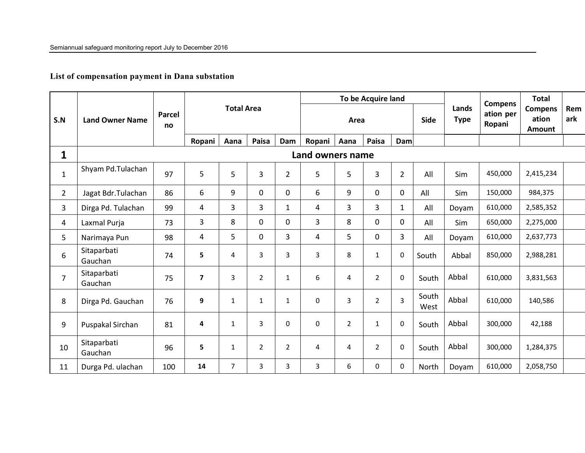**List of compensation payment in Dana substation** 

|                |                        |              |                |                   |                |                |                  |                | To be Acquire land |                |               |                      | <b>Compens</b>      | <b>Total</b>                      |            |
|----------------|------------------------|--------------|----------------|-------------------|----------------|----------------|------------------|----------------|--------------------|----------------|---------------|----------------------|---------------------|-----------------------------------|------------|
| S.N            | <b>Land Owner Name</b> | Parcel<br>no |                | <b>Total Area</b> |                |                |                  | Area           |                    |                | <b>Side</b>   | Lands<br><b>Type</b> | ation per<br>Ropani | <b>Compens</b><br>ation<br>Amount | Rem<br>ark |
|                |                        |              | Ropani         | Aana              | Paisa          | Dam            | Ropani           | Aana           | Paisa              | Dam            |               |                      |                     |                                   |            |
| 1              |                        |              |                |                   |                |                | Land owners name |                |                    |                |               |                      |                     |                                   |            |
| $\mathbf{1}$   | Shyam Pd.Tulachan      | 97           | 5              | 5                 | $\overline{3}$ | $\overline{2}$ | 5                | 5              | $\overline{3}$     | $\overline{2}$ | All           | Sim                  | 450,000             | 2,415,234                         |            |
| $\overline{2}$ | Jagat Bdr.Tulachan     | 86           | 6              | 9                 | $\mathbf 0$    | $\overline{0}$ | 6                | 9              | $\mathbf 0$        | $\mathbf 0$    | All           | Sim                  | 150,000             | 984,375                           |            |
| 3              | Dirga Pd. Tulachan     | 99           | 4              | $\overline{3}$    | $\overline{3}$ | $\mathbf{1}$   | 4                | $\overline{3}$ | 3                  | $\mathbf{1}$   | All           | Doyam                | 610,000             | 2,585,352                         |            |
| 4              | Laxmal Purja           | 73           | 3              | 8                 | $\mathbf 0$    | $\mathbf 0$    | $\overline{3}$   | 8              | $\mathbf 0$        | $\mathbf 0$    | All           | Sim                  | 650,000             | 2,275,000                         |            |
| 5              | Narimaya Pun           | 98           | 4              | 5                 | $\mathbf 0$    | $\overline{3}$ | 4                | 5              | $\mathbf 0$        | $\overline{3}$ | All           | Doyam                | 610,000             | 2,637,773                         |            |
| 6              | Sitaparbati<br>Gauchan | 74           | 5              | 4                 | $\overline{3}$ | 3              | 3                | 8              | $\mathbf{1}$       | $\pmb{0}$      | South         | Abbal                | 850,000             | 2,988,281                         |            |
| $\overline{7}$ | Sitaparbati<br>Gauchan | 75           | $\overline{7}$ | 3                 | $\overline{2}$ | $\mathbf{1}$   | 6                | 4              | $\overline{2}$     | $\mathbf{0}$   | South         | Abbal                | 610,000             | 3,831,563                         |            |
| 8              | Dirga Pd. Gauchan      | 76           | 9              | $\mathbf{1}$      | $\mathbf{1}$   | $\mathbf{1}$   | $\mathbf 0$      | 3              | $\overline{2}$     | 3              | South<br>West | Abbal                | 610,000             | 140,586                           |            |
| 9              | Puspakal Sirchan       | 81           | 4              | $\mathbf{1}$      | 3              | 0              | $\mathbf 0$      | $\overline{2}$ | $\mathbf{1}$       | $\Omega$       | South         | Abbal                | 300,000             | 42,188                            |            |
| 10             | Sitaparbati<br>Gauchan | 96           | 5              | $\mathbf{1}$      | 2              | $\overline{2}$ | 4                | 4              | $\overline{2}$     | $\mathbf 0$    | South         | Abbal                | 300,000             | 1,284,375                         |            |
| 11             | Durga Pd. ulachan      | 100          | 14             | $\overline{7}$    | 3              | 3              | 3                | 6              | $\mathbf 0$        | 0              | North         | Doyam                | 610,000             | 2,058,750                         |            |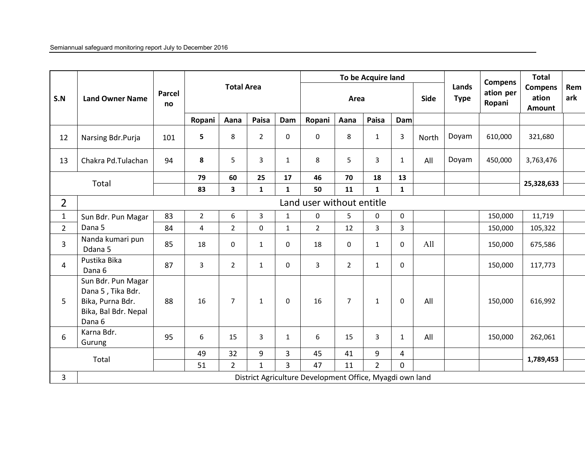|                |                                                                                               |              |                |                   |                |                | To be Acquire land        |                |                |                |             | <b>Compens</b>       | <b>Total</b>        |                                          |            |
|----------------|-----------------------------------------------------------------------------------------------|--------------|----------------|-------------------|----------------|----------------|---------------------------|----------------|----------------|----------------|-------------|----------------------|---------------------|------------------------------------------|------------|
| S.N            | <b>Land Owner Name</b>                                                                        | Parcel<br>no |                | <b>Total Area</b> |                |                |                           | Area           |                |                | <b>Side</b> | Lands<br><b>Type</b> | ation per<br>Ropani | <b>Compens</b><br>ation<br><b>Amount</b> | Rem<br>ark |
|                |                                                                                               |              | Ropani         | Aana              | Paisa          | Dam            | Ropani                    | Aana           | Paisa          | <b>Dam</b>     |             |                      |                     |                                          |            |
| 12             | Narsing Bdr.Purja                                                                             | 101          | 5              | 8                 | $\overline{2}$ | $\mathbf 0$    | $\mathbf 0$               | 8              | $\mathbf{1}$   | 3              | North       | Doyam                | 610,000             | 321,680                                  |            |
| 13             | Chakra Pd.Tulachan                                                                            | 94           | 8              | 5                 | 3              | $\mathbf{1}$   | 8                         | 5              | 3              | $\mathbf{1}$   | All         | Doyam                | 450,000             | 3,763,476                                |            |
|                | Total                                                                                         |              | 79             | 60                | 25             | 17             | 46                        | 70             | 18             | 13             |             |                      |                     | 25,328,633                               |            |
|                |                                                                                               |              | 83             | 3                 | $\mathbf{1}$   | $\mathbf{1}$   | 50                        | 11             | $\mathbf{1}$   | $\mathbf{1}$   |             |                      |                     |                                          |            |
| $\overline{2}$ |                                                                                               |              |                |                   |                |                | Land user without entitle |                |                |                |             |                      |                     |                                          |            |
| $\mathbf{1}$   | Sun Bdr. Pun Magar                                                                            | 83           | $\overline{2}$ | 6                 | $\mathbf{3}$   | $\mathbf{1}$   | $\boldsymbol{0}$          | 5              | $\mathbf 0$    | 0              |             |                      | 150,000             | 11,719                                   |            |
| $\overline{2}$ | Dana 5                                                                                        | 84           | $\overline{4}$ | $\overline{2}$    | $\mathbf{0}$   | $\mathbf{1}$   | $\overline{2}$            | 12             | $\overline{3}$ | $\overline{3}$ |             |                      | 150,000             | 105,322                                  |            |
| $\overline{3}$ | Nanda kumari pun<br>Ddana 5                                                                   | 85           | 18             | $\mathbf 0$       | $\mathbf{1}$   | $\mathbf 0$    | 18                        | 0              | $\mathbf{1}$   | 0              | All         |                      | 150,000             | 675,586                                  |            |
| $\overline{4}$ | Pustika Bika<br>Dana 6                                                                        | 87           | $\overline{3}$ | $\overline{2}$    | $\mathbf{1}$   | $\Omega$       | 3                         | $\overline{2}$ | $\mathbf{1}$   | 0              |             |                      | 150,000             | 117,773                                  |            |
| 5              | Sun Bdr. Pun Magar<br>Dana 5, Tika Bdr.<br>Bika, Purna Bdr.<br>Bika, Bal Bdr. Nepal<br>Dana 6 | 88           | 16             | $\overline{7}$    | $\mathbf{1}$   | $\mathbf 0$    | 16                        | $\overline{7}$ | $\mathbf{1}$   | $\mathbf 0$    | All         |                      | 150,000             | 616,992                                  |            |
| 6              | Karna Bdr.<br>Gurung                                                                          | 95           | 6              | 15                | 3              | $\mathbf{1}$   | $\boldsymbol{6}$          | 15             | 3              | $\mathbf{1}$   | All         |                      | 150,000             | 262,061                                  |            |
|                | Total                                                                                         |              | 49             | 32                | 9              | $\overline{3}$ | 45                        | 41             | 9              | 4              |             |                      |                     | 1,789,453                                |            |
|                |                                                                                               |              | 51             | $\overline{2}$    | $\mathbf{1}$   | $\overline{3}$ | 47                        | 11             | $\overline{2}$ | $\mathbf 0$    |             |                      |                     |                                          |            |
| 3              | District Agriculture Development Office, Myagdi own land                                      |              |                |                   |                |                |                           |                |                |                |             |                      |                     |                                          |            |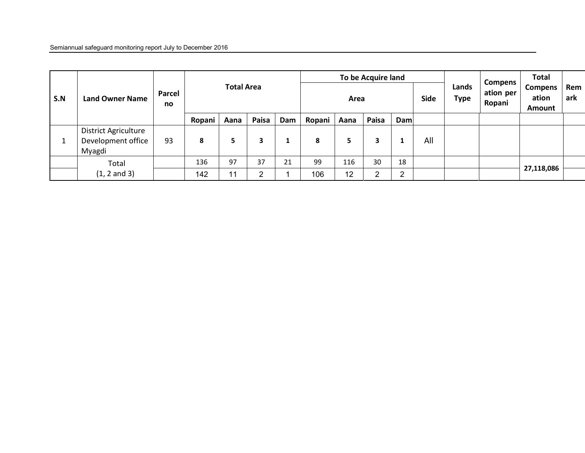| S.N | <b>Land Owner Name</b>                               | Parcel<br>no | <b>Total Area</b> |      |                |     | To be Acquire land<br>Area |      |              |     | Lands<br><b>Type</b> | <b>Compens</b><br>ation per<br>Ropani | Total<br><b>Compens</b><br>ation<br>Amount | Rem<br>ark |  |
|-----|------------------------------------------------------|--------------|-------------------|------|----------------|-----|----------------------------|------|--------------|-----|----------------------|---------------------------------------|--------------------------------------------|------------|--|
|     |                                                      |              | Ropani            | Aana | Paisa          | Dam | Ropani                     | Aana | Paisa        | Dam |                      |                                       |                                            |            |  |
|     | District Agriculture<br>Development office<br>Myagdi | 93           | 8                 | 5    | 3              |     | 8                          |      | 3            |     | All                  |                                       |                                            |            |  |
|     | Total                                                |              | 136               | 97   | 37             | 21  | 99                         | 116  | 30           | 18  |                      |                                       |                                            |            |  |
|     | $(1, 2 \text{ and } 3)$                              |              | 142               | 11   | $\overline{2}$ |     | 106                        | 12   | <sup>o</sup> | ົ   |                      |                                       |                                            | 27,118,086 |  |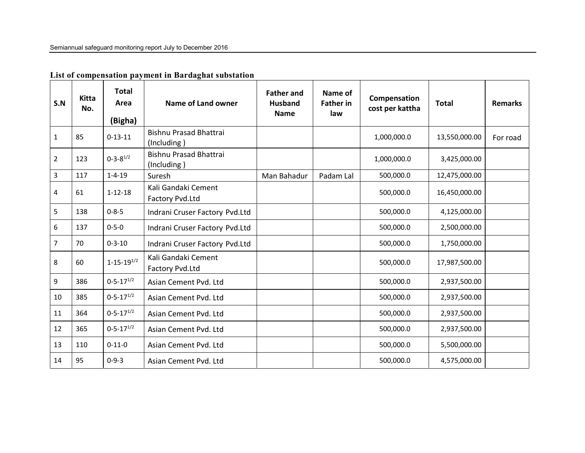| S.N            | <b>Kitta</b><br>No. | <b>Total</b><br>Area<br>(Bigha) | Name of Land owner                           | <b>Father and</b><br><b>Husband</b><br><b>Name</b> | Name of<br><b>Father in</b><br>law | Compensation<br>cost per kattha | <b>Total</b>  | <b>Remarks</b> |
|----------------|---------------------|---------------------------------|----------------------------------------------|----------------------------------------------------|------------------------------------|---------------------------------|---------------|----------------|
| $\mathbf{1}$   | 85                  | $0-13-11$                       | <b>Bishnu Prasad Bhattrai</b><br>(Including) |                                                    |                                    | 1,000,000.0                     | 13,550,000.00 | For road       |
| $\mathbf 2$    | 123                 | $0 - 3 - 8^{1/2}$               | <b>Bishnu Prasad Bhattrai</b><br>(Including) |                                                    |                                    | 1,000,000.0                     | 3,425,000.00  |                |
| $\overline{3}$ | 117                 | $1 - 4 - 19$                    | Suresh                                       | Man Bahadur                                        | Padam Lal                          | 500,000.0                       | 12,475,000.00 |                |
| 4              | 61                  | $1 - 12 - 18$                   | Kali Gandaki Cement<br>Factory Pvd.Ltd       |                                                    |                                    | 500,000.0                       | 16,450,000.00 |                |
| 5              | 138                 | $0 - 8 - 5$                     | Indrani Cruser Factory Pvd.Ltd               |                                                    |                                    | 500,000.0                       | 4,125,000.00  |                |
| $\,6\,$        | 137                 | $0 - 5 - 0$                     | Indrani Cruser Factory Pvd.Ltd               |                                                    |                                    | 500,000.0                       | 2,500,000.00  |                |
| $\overline{7}$ | 70                  | $0 - 3 - 10$                    | Indrani Cruser Factory Pvd.Ltd               |                                                    |                                    | 500,000.0                       | 1,750,000.00  |                |
| 8              | 60                  | $1 - 15 - 19^{1/2}$             | Kali Gandaki Cement<br>Factory Pvd.Ltd       |                                                    |                                    | 500,000.0                       | 17,987,500.00 |                |
| 9              | 386                 | $0 - 5 - 17^{1/2}$              | Asian Cement Pvd. Ltd                        |                                                    |                                    | 500,000.0                       | 2,937,500.00  |                |
| 10             | 385                 | $0 - 5 - 17^{1/2}$              | Asian Cement Pvd. Ltd                        |                                                    |                                    | 500,000.0                       | 2,937,500.00  |                |
| 11             | 364                 | $0 - 5 - 17^{1/2}$              | Asian Cement Pvd. Ltd                        |                                                    |                                    | 500,000.0                       | 2,937,500.00  |                |
| 12             | 365                 | $0 - 5 - 17^{1/2}$              | Asian Cement Pvd. Ltd                        |                                                    |                                    | 500,000.0                       | 2,937,500.00  |                |
| 13             | 110                 | $0 - 11 - 0$                    | Asian Cement Pvd. Ltd                        |                                                    |                                    | 500,000.0                       | 5,500,000.00  |                |
| 14             | 95                  | $0 - 9 - 3$                     | Asian Cement Pvd. Ltd                        |                                                    |                                    | 500,000.0                       | 4,575,000.00  |                |

## **List of compensation payment in Bardaghat substation**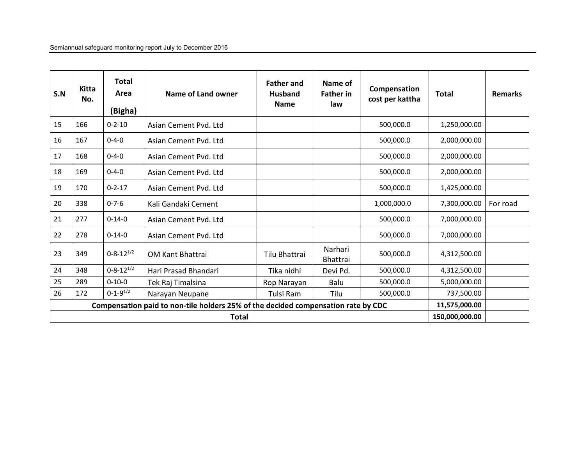| S.N | Kitta<br>No.                   | <b>Total</b><br>Area<br>(Bigha) | Name of Land owner                                                                | <b>Father and</b><br><b>Husband</b><br><b>Name</b> | Name of<br><b>Father in</b><br>law | Compensation<br>cost per kattha | <b>Total</b>  | <b>Remarks</b> |  |  |
|-----|--------------------------------|---------------------------------|-----------------------------------------------------------------------------------|----------------------------------------------------|------------------------------------|---------------------------------|---------------|----------------|--|--|
| 15  | 166                            | $0 - 2 - 10$                    | Asian Cement Pvd. Ltd                                                             |                                                    |                                    | 500,000.0                       | 1,250,000.00  |                |  |  |
| 16  | 167                            | $0 - 4 - 0$                     | Asian Cement Pvd. Ltd                                                             |                                                    |                                    | 500,000.0                       | 2,000,000.00  |                |  |  |
| 17  | 168                            | $0 - 4 - 0$                     | Asian Cement Pvd. Ltd                                                             |                                                    |                                    | 500,000.0                       | 2,000,000.00  |                |  |  |
| 18  | 169                            | $0 - 4 - 0$                     | Asian Cement Pvd. Ltd                                                             |                                                    |                                    | 500,000.0                       | 2,000,000.00  |                |  |  |
| 19  | 170                            | $0 - 2 - 17$                    | Asian Cement Pvd. Ltd                                                             |                                                    |                                    | 500,000.0                       | 1,425,000.00  |                |  |  |
| 20  | 338                            | $0 - 7 - 6$                     | Kali Gandaki Cement                                                               |                                                    |                                    | 1,000,000.0                     | 7,300,000.00  | For road       |  |  |
| 21  | 277                            | $0 - 14 - 0$                    | Asian Cement Pvd. Ltd                                                             |                                                    |                                    | 500,000.0                       | 7,000,000.00  |                |  |  |
| 22  | 278                            | $0 - 14 - 0$                    | Asian Cement Pvd. Ltd                                                             |                                                    |                                    | 500,000.0                       | 7,000,000.00  |                |  |  |
| 23  | 349                            | $0 - 8 - 12^{1/2}$              | <b>OM Kant Bhattrai</b>                                                           | Tilu Bhattrai                                      | Narhari<br><b>Bhattrai</b>         | 500,000.0                       | 4,312,500.00  |                |  |  |
| 24  | 348                            | $0 - 8 - 12^{1/2}$              | Hari Prasad Bhandari                                                              | Tika nidhi                                         | Devi Pd.                           | 500,000.0                       | 4,312,500.00  |                |  |  |
| 25  | 289                            | $0 - 10 - 0$                    | Tek Raj Timalsina                                                                 | Rop Narayan                                        | Balu                               | 500,000.0                       | 5,000,000.00  |                |  |  |
| 26  | 172                            | $0 - 1 - 9^{1/2}$               | Narayan Neupane                                                                   | Tulsi Ram                                          | Tilu                               | 500,000.0                       | 737,500.00    |                |  |  |
|     |                                |                                 | Compensation paid to non-tile holders 25% of the decided compensation rate by CDC |                                                    |                                    |                                 | 11,575,000.00 |                |  |  |
|     | 150,000,000.00<br><b>Total</b> |                                 |                                                                                   |                                                    |                                    |                                 |               |                |  |  |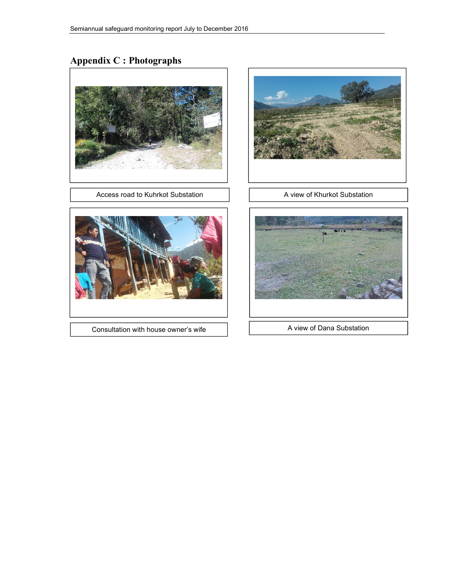# **Appendix C : Photographs**



Access road to Kuhrkot Substation A view of Khurkot Substation





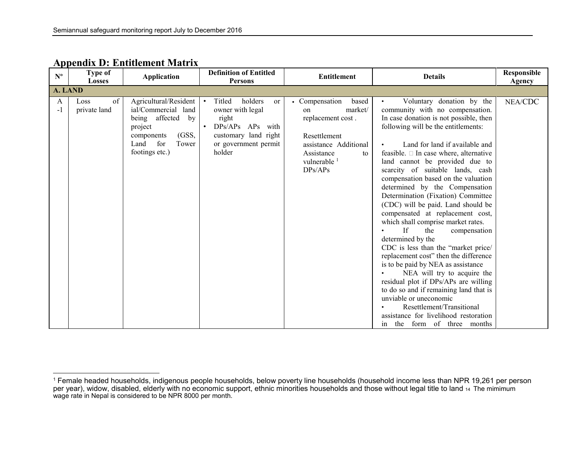| $\mathbf{N}^{\mathbf{o}}$ | Type of<br><b>Losses</b>   | <b>Application</b>                                                                                                                         | <b>Definition of Entitled</b><br><b>Persons</b>                                                                                                            | <b>Entitlement</b>                                                                                                                                               | <b>Details</b>                                                                                                                                                                                                                                                                                                                                                                                                                                                                                                                                                                                                                                                                                                                                                                                                                                                                                                                                                    | Responsible<br>Agency |
|---------------------------|----------------------------|--------------------------------------------------------------------------------------------------------------------------------------------|------------------------------------------------------------------------------------------------------------------------------------------------------------|------------------------------------------------------------------------------------------------------------------------------------------------------------------|-------------------------------------------------------------------------------------------------------------------------------------------------------------------------------------------------------------------------------------------------------------------------------------------------------------------------------------------------------------------------------------------------------------------------------------------------------------------------------------------------------------------------------------------------------------------------------------------------------------------------------------------------------------------------------------------------------------------------------------------------------------------------------------------------------------------------------------------------------------------------------------------------------------------------------------------------------------------|-----------------------|
| A. LAND                   |                            |                                                                                                                                            |                                                                                                                                                            |                                                                                                                                                                  |                                                                                                                                                                                                                                                                                                                                                                                                                                                                                                                                                                                                                                                                                                                                                                                                                                                                                                                                                                   |                       |
| A<br>$-1$                 | of<br>Loss<br>private land | Agricultural/Resident<br>ial/Commercial land<br>being affected by<br>project<br>(GSS,<br>components<br>Land for<br>Tower<br>footings etc.) | holders<br>Titled<br><sub>or</sub><br>$\bullet$<br>owner with legal<br>right<br>DPs/APs APs with<br>customary land right<br>or government permit<br>holder | • Compensation<br>based<br>market/<br>on<br>replacement cost.<br>Resettlement<br>assistance Additional<br>Assistance<br>to<br>vulnerable <sup>1</sup><br>DPs/APs | Voluntary donation by the<br>community with no compensation.<br>In case donation is not possible, then<br>following will be the entitlements:<br>Land for land if available and<br>feasible. $\square$ In case where, alternative<br>land cannot be provided due to<br>scarcity of suitable lands, cash<br>compensation based on the valuation<br>determined by the Compensation<br>Determination (Fixation) Committee<br>(CDC) will be paid. Land should be<br>compensated at replacement cost,<br>which shall comprise market rates.<br>If<br>the<br>compensation<br>determined by the<br>CDC is less than the "market price/<br>replacement cost" then the difference<br>is to be paid by NEA as assistance<br>NEA will try to acquire the<br>residual plot if DPs/APs are willing<br>to do so and if remaining land that is<br>unviable or uneconomic<br>Resettlement/Transitional<br>assistance for livelihood restoration<br>the form of three months<br>in | NEA/CDC               |

## **Appendix D: Entitlement Matrix**

<sup>&</sup>lt;sup>1</sup> Female headed households, indigenous people households, below poverty line households (household income less than NPR 19,261 per person<br>per year), widow, disabled, elderly with no economic support, ethnic minorities h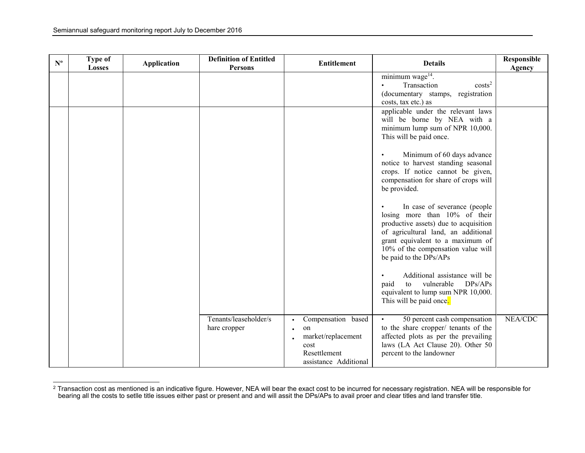| $\mathbf{N}^{\mathbf{o}}$ | <b>Type of</b><br><b>Losses</b> | <b>Application</b> | <b>Definition of Entitled</b><br><b>Persons</b> | <b>Entitlement</b>                                                                                           | <b>Details</b>                                                                                                                                                                                                                                    | Responsible<br><b>Agency</b> |
|---------------------------|---------------------------------|--------------------|-------------------------------------------------|--------------------------------------------------------------------------------------------------------------|---------------------------------------------------------------------------------------------------------------------------------------------------------------------------------------------------------------------------------------------------|------------------------------|
|                           |                                 |                    |                                                 |                                                                                                              | minimum wage <sup>14</sup> .<br>Transaction<br>costs <sup>2</sup><br>$\bullet$<br>(documentary stamps, registration<br>costs, tax etc.) as                                                                                                        |                              |
|                           |                                 |                    |                                                 |                                                                                                              | applicable under the relevant laws<br>will be borne by NEA with a<br>minimum lump sum of NPR 10,000.<br>This will be paid once.                                                                                                                   |                              |
|                           |                                 |                    |                                                 |                                                                                                              | Minimum of 60 days advance<br>notice to harvest standing seasonal<br>crops. If notice cannot be given,<br>compensation for share of crops will<br>be provided.                                                                                    |                              |
|                           |                                 |                    |                                                 |                                                                                                              | In case of severance (people<br>losing more than 10% of their<br>productive assets) due to acquisition<br>of agricultural land, an additional<br>grant equivalent to a maximum of<br>10% of the compensation value will<br>be paid to the DPs/APs |                              |
|                           |                                 |                    |                                                 |                                                                                                              | Additional assistance will be<br>vulnerable<br>DPs/APs<br>paid<br>to<br>equivalent to lump sum NPR 10,000.<br>This will be paid once.                                                                                                             |                              |
|                           |                                 |                    | Tenants/leaseholder/s<br>hare cropper           | Compensation based<br>on<br>$\bullet$<br>market/replacement<br>cost<br>Resettlement<br>assistance Additional | 50 percent cash compensation<br>to the share cropper/ tenants of the<br>affected plots as per the prevailing<br>laws (LA Act Clause 20). Other 50<br>percent to the landowner                                                                     | NEA/CDC                      |

<sup>&</sup>lt;sup>2</sup> Transaction cost as mentioned is an indicative figure. However, NEA will bear the exact cost to be incurred for necessary registration. NEA will be responsible for<br>bearing all the costs to setlle title issues either pa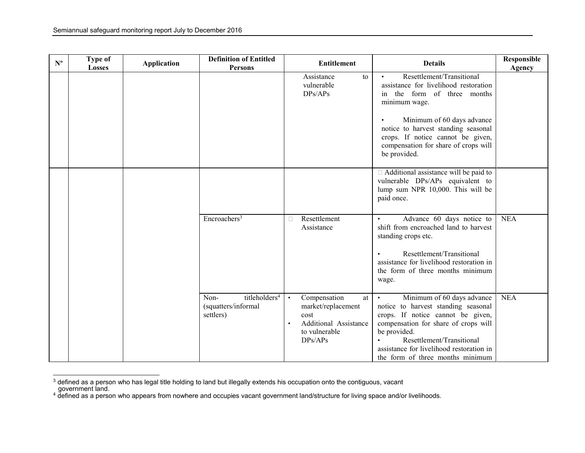| $\mathbf{N}^{\mathbf{o}}$ | <b>Type of</b><br><b>Losses</b> | <b>Application</b> | <b>Definition of Entitled</b><br><b>Persons</b>                       |           | <b>Entitlement</b>                                                                                    | <b>Details</b>                                                                                                                                                                                                                                                                           | Responsible<br>Agency |
|---------------------------|---------------------------------|--------------------|-----------------------------------------------------------------------|-----------|-------------------------------------------------------------------------------------------------------|------------------------------------------------------------------------------------------------------------------------------------------------------------------------------------------------------------------------------------------------------------------------------------------|-----------------------|
|                           |                                 |                    |                                                                       |           | Assistance<br>to<br>vulnerable<br>DPs/APs                                                             | Resettlement/Transitional<br>$\bullet$<br>assistance for livelihood restoration<br>in the form of three months<br>minimum wage.<br>Minimum of 60 days advance<br>notice to harvest standing seasonal<br>crops. If notice cannot be given,<br>compensation for share of crops will        |                       |
|                           |                                 |                    |                                                                       |           |                                                                                                       | be provided.                                                                                                                                                                                                                                                                             |                       |
|                           |                                 |                    |                                                                       |           |                                                                                                       | $\Box$ Additional assistance will be paid to<br>vulnerable DPs/APs equivalent to<br>lump sum NPR 10,000. This will be<br>paid once.                                                                                                                                                      |                       |
|                           |                                 |                    | Encroachers <sup>3</sup>                                              | O.        | Resettlement<br>Assistance                                                                            | Advance 60 days notice to<br>$\bullet$<br>shift from encroached land to harvest<br>standing crops etc.<br>Resettlement/Transitional<br>$\bullet$<br>assistance for livelihood restoration in<br>the form of three months minimum<br>wage.                                                | <b>NEA</b>            |
|                           |                                 |                    | titleholders <sup>4</sup><br>Non-<br>(squatters/informal<br>settlers) | $\bullet$ | Compensation<br>at<br>market/replacement<br>cost<br>Additional Assistance<br>to vulnerable<br>DPs/APs | Minimum of 60 days advance<br>$\bullet$<br>notice to harvest standing seasonal<br>crops. If notice cannot be given,<br>compensation for share of crops will<br>be provided.<br>Resettlement/Transitional<br>assistance for livelihood restoration in<br>the form of three months minimum | <b>NEA</b>            |

<sup>&</sup>lt;sup>3</sup> defined as a person who has legal title holding to land but illegally extends his occupation onto the contiguous, vacant<br>\_ government land.<br><sup>4</sup> defined as a person who appears from nowhere and occupies vacant governmen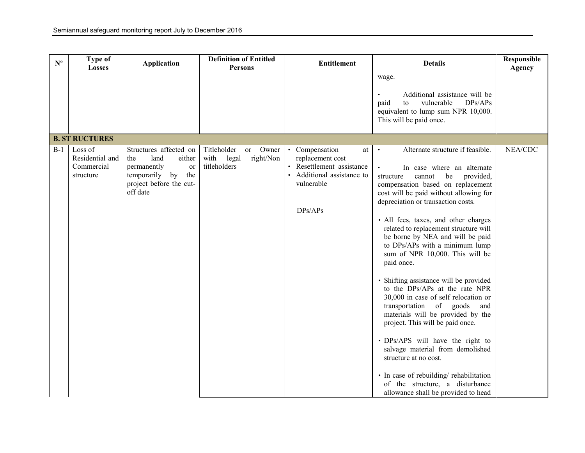| $\mathbf{N}^{\mathbf{o}}$ | Type of<br><b>Losses</b>                              | <b>Application</b>                                                                                                                   | <b>Definition of Entitled</b><br>Persons                                 | <b>Entitlement</b>                                                                                                | <b>Details</b>                                                                                                                                                                                                                                                                                                                                                                                                                                                                                                                                                                                                                                           | Responsible<br>Agency |
|---------------------------|-------------------------------------------------------|--------------------------------------------------------------------------------------------------------------------------------------|--------------------------------------------------------------------------|-------------------------------------------------------------------------------------------------------------------|----------------------------------------------------------------------------------------------------------------------------------------------------------------------------------------------------------------------------------------------------------------------------------------------------------------------------------------------------------------------------------------------------------------------------------------------------------------------------------------------------------------------------------------------------------------------------------------------------------------------------------------------------------|-----------------------|
|                           |                                                       |                                                                                                                                      |                                                                          |                                                                                                                   | wage.<br>Additional assistance will be<br>vulnerable<br>DPs/APs<br>paid<br>to<br>equivalent to lump sum NPR 10,000.<br>This will be paid once.                                                                                                                                                                                                                                                                                                                                                                                                                                                                                                           |                       |
|                           | <b>B. ST RUCTURES</b>                                 |                                                                                                                                      |                                                                          |                                                                                                                   |                                                                                                                                                                                                                                                                                                                                                                                                                                                                                                                                                                                                                                                          |                       |
| $B-1$                     | Loss of<br>Residential and<br>Commercial<br>structure | Structures affected on<br>land<br>the<br>either<br>permanently<br>or<br>temporarily by<br>the<br>project before the cut-<br>off date | Titleholder<br>Owner<br>or<br>right/Non<br>with<br>legal<br>titleholders | • Compensation<br>at<br>replacement cost<br>• Resettlement assistance<br>• Additional assistance to<br>vulnerable | Alternate structure if feasible.<br>$\bullet$<br>In case where an alternate<br>cannot<br>be<br>provided,<br>structure<br>compensation based on replacement<br>cost will be paid without allowing for<br>depreciation or transaction costs.                                                                                                                                                                                                                                                                                                                                                                                                               | NEA/CDC               |
|                           |                                                       |                                                                                                                                      |                                                                          | DPs/APs                                                                                                           | · All fees, taxes, and other charges<br>related to replacement structure will<br>be borne by NEA and will be paid<br>to DPs/APs with a minimum lump<br>sum of NPR 10,000. This will be<br>paid once.<br>• Shifting assistance will be provided<br>to the DPs/APs at the rate NPR<br>30,000 in case of self relocation or<br>transportation of goods<br>and<br>materials will be provided by the<br>project. This will be paid once.<br>• DPs/APS will have the right to<br>salvage material from demolished<br>structure at no cost.<br>• In case of rebuilding/rehabilitation<br>of the structure, a disturbance<br>allowance shall be provided to head |                       |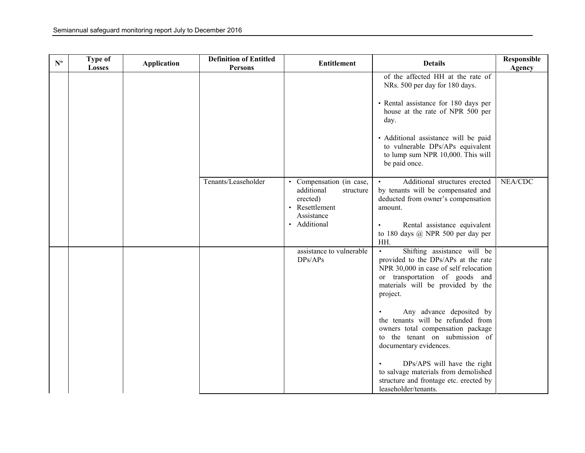| $\mathbf{N}^{\mathrm{o}}$ | Type of<br><b>Losses</b> | <b>Application</b> | <b>Definition of Entitled</b><br><b>Persons</b> | <b>Entitlement</b>                                                                                              | <b>Details</b>                                                                                                                                                                                                                                                                                                                                                                                                                                                                                                         | Responsible<br>Agency |
|---------------------------|--------------------------|--------------------|-------------------------------------------------|-----------------------------------------------------------------------------------------------------------------|------------------------------------------------------------------------------------------------------------------------------------------------------------------------------------------------------------------------------------------------------------------------------------------------------------------------------------------------------------------------------------------------------------------------------------------------------------------------------------------------------------------------|-----------------------|
|                           |                          |                    |                                                 |                                                                                                                 | of the affected HH at the rate of<br>NRs. 500 per day for 180 days.<br>• Rental assistance for 180 days per<br>house at the rate of NPR 500 per<br>day.<br>· Additional assistance will be paid<br>to vulnerable DPs/APs equivalent<br>to lump sum NPR 10,000. This will<br>be paid once.                                                                                                                                                                                                                              |                       |
|                           |                          |                    | Tenants/Leaseholder                             | • Compensation (in case,<br>additional<br>structure<br>erected)<br>• Resettlement<br>Assistance<br>· Additional | Additional structures erected<br>by tenants will be compensated and<br>deducted from owner's compensation<br>amount.<br>Rental assistance equivalent<br>to 180 days $@$ NPR 500 per day per<br>HH.                                                                                                                                                                                                                                                                                                                     | NEA/CDC               |
|                           |                          |                    |                                                 | assistance to vulnerable<br>DPs/APs                                                                             | Shifting assistance will be<br>$\bullet$<br>provided to the DPs/APs at the rate<br>NPR 30,000 in case of self relocation<br>or transportation of goods and<br>materials will be provided by the<br>project.<br>Any advance deposited by<br>the tenants will be refunded from<br>owners total compensation package<br>to the tenant on submission of<br>documentary evidences.<br>DPs/APS will have the right<br>to salvage materials from demolished<br>structure and frontage etc. erected by<br>leaseholder/tenants. |                       |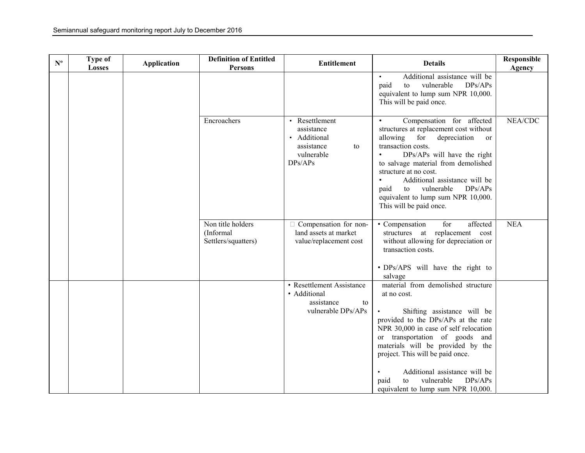| $\mathbf{N}^{\mathbf{o}}$ | Type of<br><b>Losses</b> | <b>Application</b> | <b>Definition of Entitled</b><br>Persons              | <b>Entitlement</b>                                                                        | <b>Details</b>                                                                                                                                                                                                                                                                                                                                                                                                    | Responsible<br>Agency |
|---------------------------|--------------------------|--------------------|-------------------------------------------------------|-------------------------------------------------------------------------------------------|-------------------------------------------------------------------------------------------------------------------------------------------------------------------------------------------------------------------------------------------------------------------------------------------------------------------------------------------------------------------------------------------------------------------|-----------------------|
|                           |                          |                    |                                                       |                                                                                           | Additional assistance will be<br>paid<br>vulnerable<br>DPs/APs<br>to<br>equivalent to lump sum NPR 10,000.<br>This will be paid once.                                                                                                                                                                                                                                                                             |                       |
|                           |                          |                    | Encroachers                                           | • Resettlement<br>assistance<br>· Additional<br>assistance<br>to<br>vulnerable<br>DPs/APs | Compensation for affected<br>$\bullet$<br>structures at replacement cost without<br>allowing<br>for<br>depreciation<br>or<br>transaction costs.<br>DPs/APs will have the right<br>to salvage material from demolished<br>structure at no cost.<br>Additional assistance will be<br>paid<br>vulnerable<br>DPs/APs<br>to<br>equivalent to lump sum NPR 10,000.<br>This will be paid once.                           | NEA/CDC               |
|                           |                          |                    | Non title holders<br>(Informal<br>Settlers/squatters) | Compensation for non-<br>land assets at market<br>value/replacement cost                  | • Compensation<br>affected<br>for<br>structures at replacement cost<br>without allowing for depreciation or<br>transaction costs.<br>• DPs/APS will have the right to                                                                                                                                                                                                                                             | <b>NEA</b>            |
|                           |                          |                    |                                                       | • Resettlement Assistance<br>• Additional<br>assistance<br>to<br>vulnerable DPs/APs       | salvage<br>material from demolished structure<br>at no cost.<br>Shifting assistance will be<br>provided to the DPs/APs at the rate<br>NPR 30,000 in case of self relocation<br>or transportation of goods and<br>materials will be provided by the<br>project. This will be paid once.<br>Additional assistance will be<br>$\bullet$<br>vulnerable<br>DPs/APs<br>paid<br>to<br>equivalent to lump sum NPR 10,000. |                       |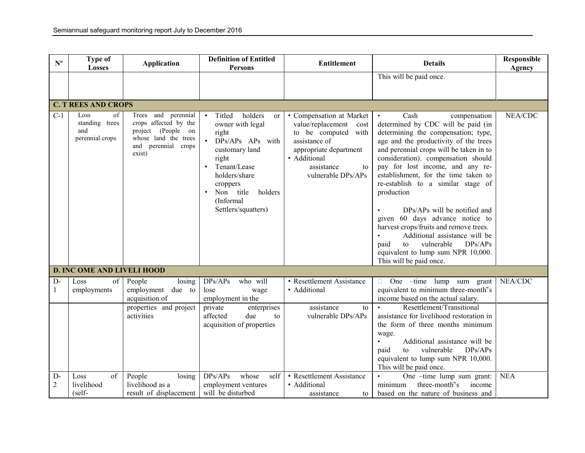| $N^{\circ}$            | <b>Type of</b><br><b>Losses</b>                        | <b>Application</b>                                                                                                                | <b>Definition of Entitled</b><br><b>Persons</b>                                                                                                                                                              | <b>Entitlement</b>                                                                                                                                                                | <b>Details</b>                                                                                                                                                                                                                                                                                                                                                                                                                                                                                                                                                                                                                  | Responsible<br>Agency |
|------------------------|--------------------------------------------------------|-----------------------------------------------------------------------------------------------------------------------------------|--------------------------------------------------------------------------------------------------------------------------------------------------------------------------------------------------------------|-----------------------------------------------------------------------------------------------------------------------------------------------------------------------------------|---------------------------------------------------------------------------------------------------------------------------------------------------------------------------------------------------------------------------------------------------------------------------------------------------------------------------------------------------------------------------------------------------------------------------------------------------------------------------------------------------------------------------------------------------------------------------------------------------------------------------------|-----------------------|
|                        |                                                        |                                                                                                                                   |                                                                                                                                                                                                              |                                                                                                                                                                                   | This will be paid once.                                                                                                                                                                                                                                                                                                                                                                                                                                                                                                                                                                                                         |                       |
|                        |                                                        |                                                                                                                                   |                                                                                                                                                                                                              |                                                                                                                                                                                   |                                                                                                                                                                                                                                                                                                                                                                                                                                                                                                                                                                                                                                 |                       |
|                        | <b>C. T REES AND CROPS</b>                             |                                                                                                                                   |                                                                                                                                                                                                              |                                                                                                                                                                                   |                                                                                                                                                                                                                                                                                                                                                                                                                                                                                                                                                                                                                                 |                       |
| $C-1$                  | Loss<br>of<br>standing trees<br>and<br>perennial crops | Trees and<br>perennial<br>crops affected by the<br>project (People on<br>whose land the trees<br>and<br>perennial crops<br>exist) | holders<br>Titled<br>or<br>owner with legal<br>right<br>DPs/APs APs with<br>customary land<br>right<br>Tenant/Lease<br>holders/share<br>croppers<br>Non title<br>holders<br>(Informal<br>Settlers/squatters) | • Compensation at Market<br>value/replacement<br>cost<br>to be computed with<br>assistance of<br>appropriate department<br>· Additional<br>assistance<br>to<br>vulnerable DPs/APs | Cash<br>compensation<br>determined by CDC will be paid (in<br>determining the compensation; type,<br>age and the productivity of the trees<br>and perennial crops will be taken in to<br>consideration). compensation should<br>pay for lost income, and any re-<br>establishment, for the time taken to<br>re-establish to a similar stage of<br>production<br>DPs/APs will be notified and<br>given 60 days advance notice to<br>harvest crops/fruits and remove trees.<br>Additional assistance will be<br>$\bullet$<br>DPs/APs<br>vulnerable<br>paid<br>to<br>equivalent to lump sum NPR 10,000.<br>This will be paid once. | NEA/CDC               |
|                        | <b>D. INC OME AND LIVELI HOOD</b>                      |                                                                                                                                   |                                                                                                                                                                                                              |                                                                                                                                                                                   |                                                                                                                                                                                                                                                                                                                                                                                                                                                                                                                                                                                                                                 |                       |
| $D-$<br>1              | of<br>Loss<br>employments                              | People<br>losing<br>employment<br>due to<br>acquisition of                                                                        | DPs/APs<br>who will<br>lose<br>wage<br>employment in the                                                                                                                                                     | • Resettlement Assistance<br>• Additional                                                                                                                                         | $\Box$ One -time lump sum grant<br>equivalent to minimum three-month"s<br>income based on the actual salary.                                                                                                                                                                                                                                                                                                                                                                                                                                                                                                                    | NEA/CDC               |
|                        |                                                        | properties and project<br>activities                                                                                              | private<br>enterprises<br>affected<br>due<br>to<br>acquisition of properties                                                                                                                                 | assistance<br>to<br>vulnerable DPs/APs                                                                                                                                            | Resettlement/Transitional<br>assistance for livelihood restoration in<br>the form of three months minimum<br>wage.<br>Additional assistance will be<br>$\bullet$<br>DPs/APs<br>vulnerable<br>paid<br>to<br>equivalent to lump sum NPR 10,000.<br>This will be paid once.                                                                                                                                                                                                                                                                                                                                                        |                       |
| $D-$<br>$\overline{2}$ | of<br>Loss<br>livelihood<br>$(self-$                   | People<br>losing<br>livelihood as a<br>result of displacement                                                                     | DPs/APs<br>whose<br>self<br>employment ventures<br>will be disturbed                                                                                                                                         | • Resettlement Assistance<br>• Additional<br>assistance<br>to                                                                                                                     | One -time lump sum grant:<br>three-month"s<br>minimum<br>income<br>based on the nature of business and                                                                                                                                                                                                                                                                                                                                                                                                                                                                                                                          | <b>NEA</b>            |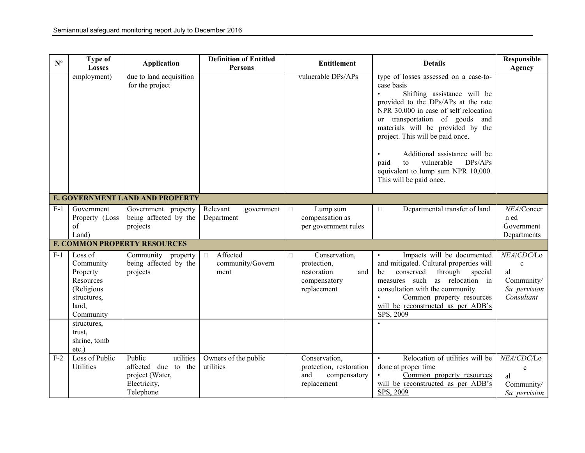| $\mathbf{N}^{\mathbf{o}}$ | <b>Type of</b><br>Losses                                                                         | <b>Application</b>                                                                               | <b>Definition of Entitled</b><br><b>Persons</b> | <b>Entitlement</b>                                                                          | <b>Details</b>                                                                                                                                                                                                                                                                                                                                                                                                                      | Responsible<br>Agency                                                       |  |  |  |
|---------------------------|--------------------------------------------------------------------------------------------------|--------------------------------------------------------------------------------------------------|-------------------------------------------------|---------------------------------------------------------------------------------------------|-------------------------------------------------------------------------------------------------------------------------------------------------------------------------------------------------------------------------------------------------------------------------------------------------------------------------------------------------------------------------------------------------------------------------------------|-----------------------------------------------------------------------------|--|--|--|
|                           | employment)                                                                                      | due to land acquisition<br>for the project                                                       |                                                 | vulnerable DPs/APs                                                                          | type of losses assessed on a case-to-<br>case basis<br>Shifting assistance will be<br>$\bullet$<br>provided to the DPs/APs at the rate<br>NPR 30,000 in case of self relocation<br>or transportation of goods and<br>materials will be provided by the<br>project. This will be paid once.<br>Additional assistance will be<br>paid<br>vulnerable<br>DPs/APs<br>to<br>equivalent to lump sum NPR 10,000.<br>This will be paid once. |                                                                             |  |  |  |
|                           | E. GOVERNMENT LAND AND PROPERTY                                                                  |                                                                                                  |                                                 |                                                                                             |                                                                                                                                                                                                                                                                                                                                                                                                                                     |                                                                             |  |  |  |
| $E-1$                     | Government<br>Property (Loss<br>$\sigma$<br>Land)                                                | Government property<br>being affected by the<br>projects                                         | Relevant<br>government<br>Department            | Lump sum<br>$\Box$<br>compensation as<br>per government rules                               | Departmental transfer of land<br>$\Box$                                                                                                                                                                                                                                                                                                                                                                                             | NEA/Concer<br>n ed<br>Government<br>Departments                             |  |  |  |
|                           |                                                                                                  | <b>F. COMMON PROPERTY RESOURCES</b>                                                              |                                                 |                                                                                             |                                                                                                                                                                                                                                                                                                                                                                                                                                     |                                                                             |  |  |  |
| $F-1$                     | Loss of<br>Community<br>Property<br>Resources<br>(Religious<br>structures,<br>land,<br>Community | Community<br>property<br>being affected by the<br>projects                                       | Affected<br>$\Box$<br>community/Govern<br>ment  | Conservation,<br>$\Box$<br>protection,<br>restoration<br>and<br>compensatory<br>replacement | Impacts will be documented<br>and mitigated. Cultural properties will<br>through<br>conserved<br>special<br>be<br>measures such<br>as relocation in<br>consultation with the community.<br>Common property resources<br>will be reconstructed as per ADB's<br>SPS, 2009                                                                                                                                                             | NEA/CDC/Lo<br>$\mathbf c$<br>al<br>Community/<br>Su pervision<br>Consultant |  |  |  |
|                           | structures,<br>trust,<br>shrine, tomb<br>$etc.$ )                                                |                                                                                                  |                                                 |                                                                                             |                                                                                                                                                                                                                                                                                                                                                                                                                                     |                                                                             |  |  |  |
| $F-2$                     | Loss of Public<br>Utilities                                                                      | Public<br>utilities<br>affected due<br>to<br>the<br>project (Water,<br>Electricity,<br>Telephone | Owners of the public<br>utilities               | Conservation,<br>protection, restoration<br>and<br>compensatory<br>replacement              | Relocation of utilities will be<br>$\bullet$<br>done at proper time<br>Common property resources<br>will be reconstructed as per ADB's<br>SPS, 2009                                                                                                                                                                                                                                                                                 | NEA/CDC/Lo<br>$\mathbf{c}$<br>al<br>Community/<br>Su pervision              |  |  |  |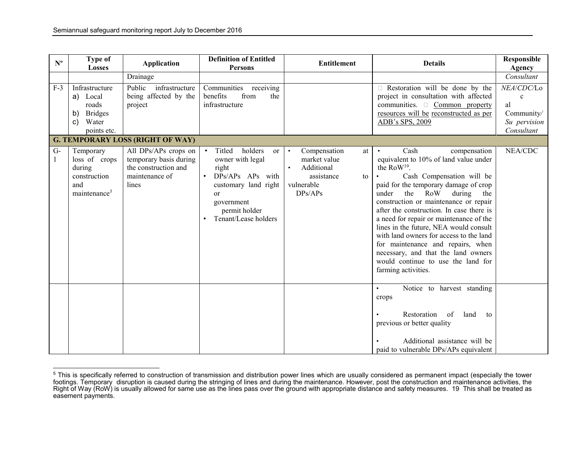| $N^{\rm o}$ | Type of<br><b>Losses</b>                                                                            | <b>Application</b>                                                                                                  | <b>Definition of Entitled</b><br><b>Persons</b>                                                                                                                                                  | <b>Entitlement</b>                                                                                                      | <b>Details</b>                                                                                                                                                                                                                                                                                                                                                                                                                                                                                                                                                                 | Responsible<br>Agency                                                                      |
|-------------|-----------------------------------------------------------------------------------------------------|---------------------------------------------------------------------------------------------------------------------|--------------------------------------------------------------------------------------------------------------------------------------------------------------------------------------------------|-------------------------------------------------------------------------------------------------------------------------|--------------------------------------------------------------------------------------------------------------------------------------------------------------------------------------------------------------------------------------------------------------------------------------------------------------------------------------------------------------------------------------------------------------------------------------------------------------------------------------------------------------------------------------------------------------------------------|--------------------------------------------------------------------------------------------|
| $F-3$       | Infrastructure<br>a) Local<br>roads<br><b>Bridges</b><br>b)<br>$\mathbf{C}$<br>Water<br>points etc. | Drainage<br>Public<br>infrastructure<br>being affected by the<br>project<br><b>G. TEMPORARY LOSS (RIGHT OF WAY)</b> | Communities<br>receiving<br>benefits<br>from<br>the<br>infrastructure                                                                                                                            |                                                                                                                         | $\Box$ Restoration will be done by the<br>project in consultation with affected<br>communities. $\Box$ Common  property<br>resources will be reconstructed as per<br>ADB's SPS, 2009                                                                                                                                                                                                                                                                                                                                                                                           | Consultant<br>NEA/CDC/Lo<br>$\mathbf{c}$<br>al<br>Community/<br>Su pervision<br>Consultant |
| $G-$<br>1   | Temporary<br>loss of crops<br>during<br>construction<br>and<br>maintenance <sup>5</sup>             | All DPs/APs crops on<br>temporary basis during<br>the construction and<br>maintenance of<br>lines                   | holders<br>Titled<br><sub>or</sub><br>owner with legal<br>right<br>DPs/APs APs with<br>$\bullet$<br>customary land right<br><sub>or</sub><br>government<br>permit holder<br>Tenant/Lease holders | Compensation<br>$\bullet$<br>at<br>market value<br>Additional<br>$\bullet$<br>assistance<br>to<br>vulnerable<br>DPs/APs | Cash<br>compensation<br>$\bullet$<br>equivalent to 10% of land value under<br>the RoW <sup>19</sup> .<br>Cash Compensation will be<br>paid for the temporary damage of crop<br>the<br>under<br>RoW during<br>the<br>construction or maintenance or repair<br>after the construction. In case there is<br>a need for repair or maintenance of the<br>lines in the future, NEA would consult<br>with land owners for access to the land<br>for maintenance and repairs, when<br>necessary, and that the land owners<br>would continue to use the land for<br>farming activities. | NEA/CDC                                                                                    |
|             |                                                                                                     |                                                                                                                     |                                                                                                                                                                                                  |                                                                                                                         | Notice to harvest standing<br>$\bullet$<br>crops<br>Restoration<br>of<br>land<br>to<br>previous or better quality<br>Additional assistance will be<br>paid to vulnerable DPs/APs equivalent                                                                                                                                                                                                                                                                                                                                                                                    |                                                                                            |

<sup>&</sup>lt;sup>5</sup> This is specifically referred to construction of transmission and distribution power lines which are usually considered as permanent impact (especially the tower<br>footings. Temporary disruption is caused during the stri